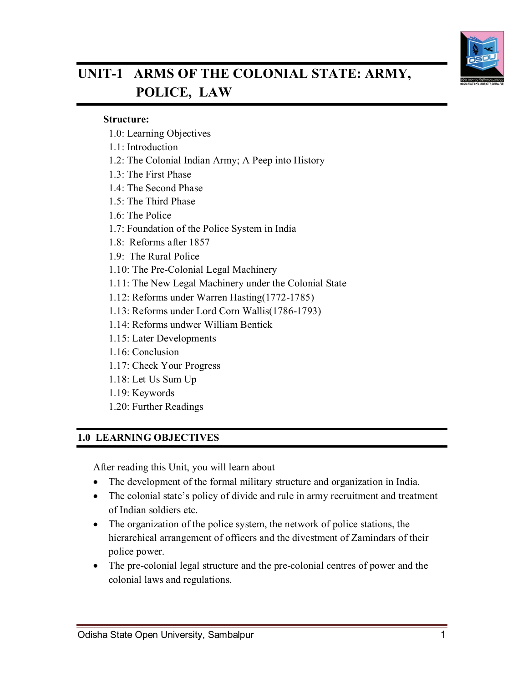

# **UNIT-1 ARMS OF THE COLONIAL STATE: ARMY, POLICE, LAW**

#### **Structure:**

- 1.0: Learning Objectives
- 1.1: Introduction
- 1.2: The Colonial Indian Army; A Peep into History
- 1.3: The First Phase
- 1.4: The Second Phase
- 1.5: The Third Phase
- 1.6: The Police
- 1.7: Foundation of the Police System in India
- 1.8: Reforms after 1857
- 1.9: The Rural Police
- 1.10: The Pre-Colonial Legal Machinery
- 1.11: The New Legal Machinery under the Colonial State
- 1.12: Reforms under Warren Hasting(1772-1785)
- 1.13: Reforms under Lord Corn Wallis(1786-1793)
- 1.14: Reforms undwer William Bentick
- 1.15: Later Developments
- 1.16: Conclusion
- 1.17: Check Your Progress
- 1.18: Let Us Sum Up
- 1.19: Keywords
- 1.20: Further Readings

#### **1.0 LEARNING OBJECTIVES**

After reading this Unit, you will learn about

- The development of the formal military structure and organization in India.
- The colonial state's policy of divide and rule in army recruitment and treatment of Indian soldiers etc.
- The organization of the police system, the network of police stations, the hierarchical arrangement of officers and the divestment of Zamindars of their police power.
- The pre-colonial legal structure and the pre-colonial centres of power and the colonial laws and regulations.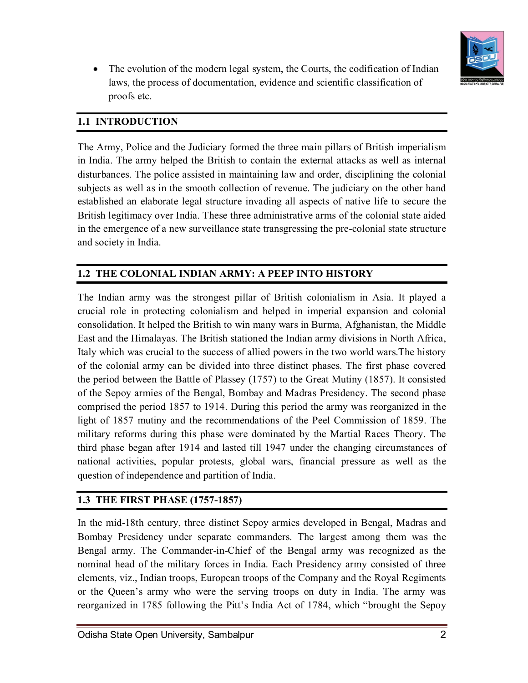

• The evolution of the modern legal system, the Courts, the codification of Indian laws, the process of documentation, evidence and scientific classification of proofs etc.

## **1.1 INTRODUCTION**

The Army, Police and the Judiciary formed the three main pillars of British imperialism in India. The army helped the British to contain the external attacks as well as internal disturbances. The police assisted in maintaining law and order, disciplining the colonial subjects as well as in the smooth collection of revenue. The judiciary on the other hand established an elaborate legal structure invading all aspects of native life to secure the British legitimacy over India. These three administrative arms of the colonial state aided in the emergence of a new surveillance state transgressing the pre-colonial state structure and society in India.

## **1.2 THE COLONIAL INDIAN ARMY: A PEEP INTO HISTORY**

The Indian army was the strongest pillar of British colonialism in Asia. It played a crucial role in protecting colonialism and helped in imperial expansion and colonial consolidation. It helped the British to win many wars in Burma, Afghanistan, the Middle East and the Himalayas. The British stationed the Indian army divisions in North Africa, Italy which was crucial to the success of allied powers in the two world wars.The history of the colonial army can be divided into three distinct phases. The first phase covered the period between the Battle of Plassey (1757) to the Great Mutiny (1857). It consisted of the Sepoy armies of the Bengal, Bombay and Madras Presidency. The second phase comprised the period 1857 to 1914. During this period the army was reorganized in the light of 1857 mutiny and the recommendations of the Peel Commission of 1859. The military reforms during this phase were dominated by the Martial Races Theory. The third phase began after 1914 and lasted till 1947 under the changing circumstances of national activities, popular protests, global wars, financial pressure as well as the question of independence and partition of India.

## **1.3 THE FIRST PHASE (1757-1857)**

In the mid-18th century, three distinct Sepoy armies developed in Bengal, Madras and Bombay Presidency under separate commanders. The largest among them was the Bengal army. The Commander-in-Chief of the Bengal army was recognized as the nominal head of the military forces in India. Each Presidency army consisted of three elements, viz., Indian troops, European troops of the Company and the Royal Regiments or the Queen's army who were the serving troops on duty in India. The army was reorganized in 1785 following the Pitt's India Act of 1784, which "brought the Sepoy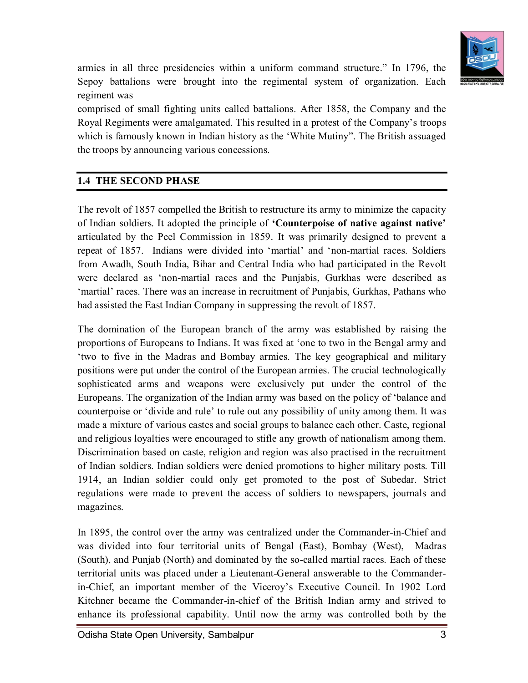

armies in all three presidencies within a uniform command structure." In 1796, the Sepoy battalions were brought into the regimental system of organization. Each regiment was

comprised of small fighting units called battalions. After 1858, the Company and the Royal Regiments were amalgamated. This resulted in a protest of the Company's troops which is famously known in Indian history as the 'White Mutiny". The British assuaged the troops by announcing various concessions.

## **1.4 THE SECOND PHASE**

The revolt of 1857 compelled the British to restructure its army to minimize the capacity of Indian soldiers. It adopted the principle of **'Counterpoise of native against native'**  articulated by the Peel Commission in 1859. It was primarily designed to prevent a repeat of 1857. Indians were divided into 'martial' and 'non-martial races. Soldiers from Awadh, South India, Bihar and Central India who had participated in the Revolt were declared as 'non-martial races and the Punjabis, Gurkhas were described as 'martial' races. There was an increase in recruitment of Punjabis, Gurkhas, Pathans who had assisted the East Indian Company in suppressing the revolt of 1857.

The domination of the European branch of the army was established by raising the proportions of Europeans to Indians. It was fixed at 'one to two in the Bengal army and 'two to five in the Madras and Bombay armies. The key geographical and military positions were put under the control of the European armies. The crucial technologically sophisticated arms and weapons were exclusively put under the control of the Europeans. The organization of the Indian army was based on the policy of 'balance and counterpoise or 'divide and rule' to rule out any possibility of unity among them. It was made a mixture of various castes and social groups to balance each other. Caste, regional and religious loyalties were encouraged to stifle any growth of nationalism among them. Discrimination based on caste, religion and region was also practised in the recruitment of Indian soldiers. Indian soldiers were denied promotions to higher military posts. Till 1914, an Indian soldier could only get promoted to the post of Subedar. Strict regulations were made to prevent the access of soldiers to newspapers, journals and magazines.

In 1895, the control over the army was centralized under the Commander-in-Chief and was divided into four territorial units of Bengal (East), Bombay (West), Madras (South), and Punjab (North) and dominated by the so-called martial races. Each of these territorial units was placed under a Lieutenant-General answerable to the Commanderin-Chief, an important member of the Viceroy's Executive Council. In 1902 Lord Kitchner became the Commander-in-chief of the British Indian army and strived to enhance its professional capability. Until now the army was controlled both by the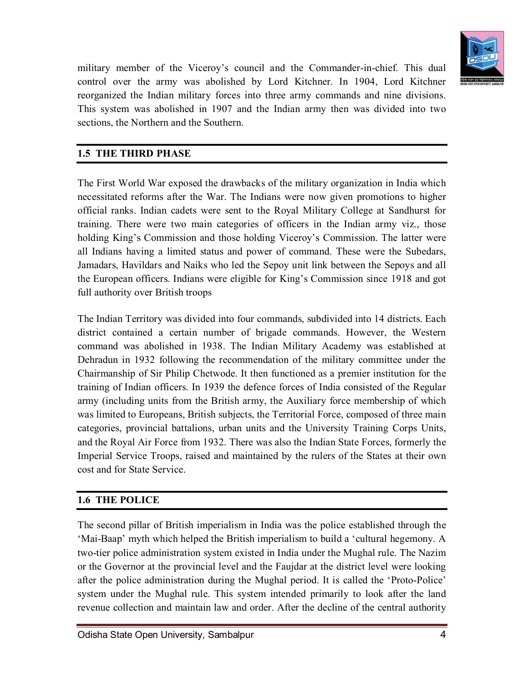

military member of the Viceroy's council and the Commander-in-chief. This dual control over the army was abolished by Lord Kitchner. In 1904, Lord Kitchner reorganized the Indian military forces into three army commands and nine divisions. This system was abolished in 1907 and the Indian army then was divided into two sections, the Northern and the Southern.

#### **1.5 THE THIRD PHASE**

The First World War exposed the drawbacks of the military organization in India which necessitated reforms after the War. The Indians were now given promotions to higher official ranks. Indian cadets were sent to the Royal Military College at Sandhurst for training. There were two main categories of officers in the Indian army viz., those holding King's Commission and those holding Viceroy's Commission. The latter were all Indians having a limited status and power of command. These were the Subedars, Jamadars, Havildars and Naiks who led the Sepoy unit link between the Sepoys and all the European officers. Indians were eligible for King's Commission since 1918 and got full authority over British troops

The Indian Territory was divided into four commands, subdivided into 14 districts. Each district contained a certain number of brigade commands. However, the Western command was abolished in 1938. The Indian Military Academy was established at Dehradun in 1932 following the recommendation of the military committee under the Chairmanship of Sir Philip Chetwode. It then functioned as a premier institution for the training of Indian officers. In 1939 the defence forces of India consisted of the Regular army (including units from the British army, the Auxiliary force membership of which was limited to Europeans, British subjects, the Territorial Force, composed of three main categories, provincial battalions, urban units and the University Training Corps Units, and the Royal Air Force from 1932. There was also the Indian State Forces, formerly the Imperial Service Troops, raised and maintained by the rulers of the States at their own cost and for State Service.

#### **1.6 THE POLICE**

The second pillar of British imperialism in India was the police established through the 'Mai-Baap' myth which helped the British imperialism to build a 'cultural hegemony. A two-tier police administration system existed in India under the Mughal rule. The Nazim or the Governor at the provincial level and the Faujdar at the district level were looking after the police administration during the Mughal period. It is called the 'Proto-Police' system under the Mughal rule. This system intended primarily to look after the land revenue collection and maintain law and order. After the decline of the central authority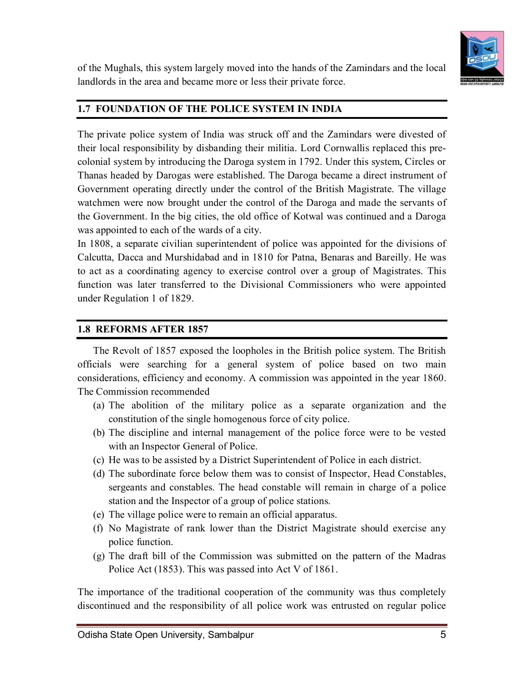

of the Mughals, this system largely moved into the hands of the Zamindars and the local landlords in the area and became more or less their private force.

## **1.7 FOUNDATION OF THE POLICE SYSTEM IN INDIA**

The private police system of India was struck off and the Zamindars were divested of their local responsibility by disbanding their militia. Lord Cornwallis replaced this precolonial system by introducing the Daroga system in 1792. Under this system, Circles or Thanas headed by Darogas were established. The Daroga became a direct instrument of Government operating directly under the control of the British Magistrate. The village watchmen were now brought under the control of the Daroga and made the servants of the Government. In the big cities, the old office of Kotwal was continued and a Daroga was appointed to each of the wards of a city.

In 1808, a separate civilian superintendent of police was appointed for the divisions of Calcutta, Dacca and Murshidabad and in 1810 for Patna, Benaras and Bareilly. He was to act as a coordinating agency to exercise control over a group of Magistrates. This function was later transferred to the Divisional Commissioners who were appointed under Regulation 1 of 1829.

#### **1.8 REFORMS AFTER 1857**

The Revolt of 1857 exposed the loopholes in the British police system. The British officials were searching for a general system of police based on two main considerations, efficiency and economy. A commission was appointed in the year 1860. The Commission recommended

- (a) The abolition of the military police as a separate organization and the constitution of the single homogenous force of city police.
- (b) The discipline and internal management of the police force were to be vested with an Inspector General of Police.
- (c) He was to be assisted by a District Superintendent of Police in each district.
- (d) The subordinate force below them was to consist of Inspector, Head Constables, sergeants and constables. The head constable will remain in charge of a police station and the Inspector of a group of police stations.
- (e) The village police were to remain an official apparatus.
- (f) No Magistrate of rank lower than the District Magistrate should exercise any police function.
- (g) The draft bill of the Commission was submitted on the pattern of the Madras Police Act (1853). This was passed into Act V of 1861.

The importance of the traditional cooperation of the community was thus completely discontinued and the responsibility of all police work was entrusted on regular police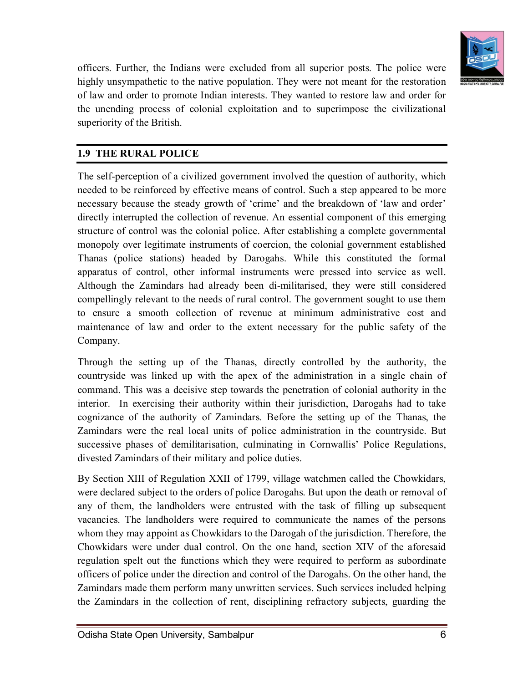

officers. Further, the Indians were excluded from all superior posts. The police were highly unsympathetic to the native population. They were not meant for the restoration of law and order to promote Indian interests. They wanted to restore law and order for the unending process of colonial exploitation and to superimpose the civilizational superiority of the British.

## **1.9 THE RURAL POLICE**

The self-perception of a civilized government involved the question of authority, which needed to be reinforced by effective means of control. Such a step appeared to be more necessary because the steady growth of 'crime' and the breakdown of 'law and order' directly interrupted the collection of revenue. An essential component of this emerging structure of control was the colonial police. After establishing a complete governmental monopoly over legitimate instruments of coercion, the colonial government established Thanas (police stations) headed by Darogahs. While this constituted the formal apparatus of control, other informal instruments were pressed into service as well. Although the Zamindars had already been di-militarised, they were still considered compellingly relevant to the needs of rural control. The government sought to use them to ensure a smooth collection of revenue at minimum administrative cost and maintenance of law and order to the extent necessary for the public safety of the Company.

Through the setting up of the Thanas, directly controlled by the authority, the countryside was linked up with the apex of the administration in a single chain of command. This was a decisive step towards the penetration of colonial authority in the interior. In exercising their authority within their jurisdiction, Darogahs had to take cognizance of the authority of Zamindars. Before the setting up of the Thanas, the Zamindars were the real local units of police administration in the countryside. But successive phases of demilitarisation, culminating in Cornwallis' Police Regulations, divested Zamindars of their military and police duties.

By Section XIII of Regulation XXII of 1799, village watchmen called the Chowkidars, were declared subject to the orders of police Darogahs. But upon the death or removal of any of them, the landholders were entrusted with the task of filling up subsequent vacancies. The landholders were required to communicate the names of the persons whom they may appoint as Chowkidars to the Darogah of the jurisdiction. Therefore, the Chowkidars were under dual control. On the one hand, section XIV of the aforesaid regulation spelt out the functions which they were required to perform as subordinate officers of police under the direction and control of the Darogahs. On the other hand, the Zamindars made them perform many unwritten services. Such services included helping the Zamindars in the collection of rent, disciplining refractory subjects, guarding the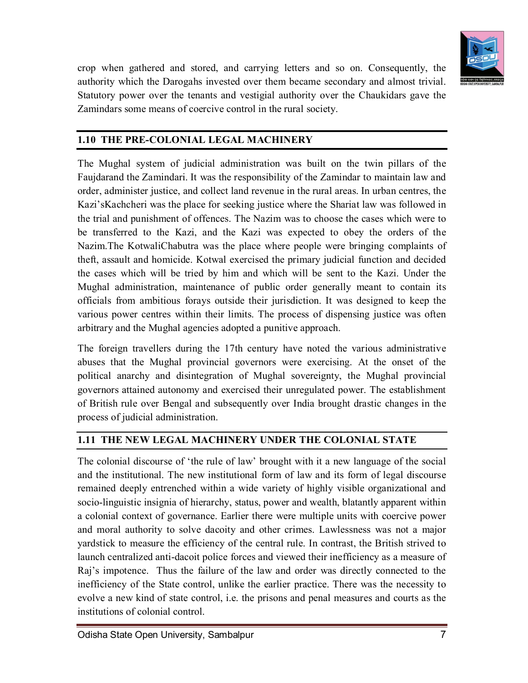

crop when gathered and stored, and carrying letters and so on. Consequently, the authority which the Darogahs invested over them became secondary and almost trivial. Statutory power over the tenants and vestigial authority over the Chaukidars gave the Zamindars some means of coercive control in the rural society.

#### **1.10 THE PRE-COLONIAL LEGAL MACHINERY**

The Mughal system of judicial administration was built on the twin pillars of the Faujdarand the Zamindari. It was the responsibility of the Zamindar to maintain law and order, administer justice, and collect land revenue in the rural areas. In urban centres, the Kazi'sKachcheri was the place for seeking justice where the Shariat law was followed in the trial and punishment of offences. The Nazim was to choose the cases which were to be transferred to the Kazi, and the Kazi was expected to obey the orders of the Nazim.The KotwaliChabutra was the place where people were bringing complaints of theft, assault and homicide. Kotwal exercised the primary judicial function and decided the cases which will be tried by him and which will be sent to the Kazi. Under the Mughal administration, maintenance of public order generally meant to contain its officials from ambitious forays outside their jurisdiction. It was designed to keep the various power centres within their limits. The process of dispensing justice was often arbitrary and the Mughal agencies adopted a punitive approach.

The foreign travellers during the 17th century have noted the various administrative abuses that the Mughal provincial governors were exercising. At the onset of the political anarchy and disintegration of Mughal sovereignty, the Mughal provincial governors attained autonomy and exercised their unregulated power. The establishment of British rule over Bengal and subsequently over India brought drastic changes in the process of judicial administration.

#### **1.11 THE NEW LEGAL MACHINERY UNDER THE COLONIAL STATE**

The colonial discourse of 'the rule of law' brought with it a new language of the social and the institutional. The new institutional form of law and its form of legal discourse remained deeply entrenched within a wide variety of highly visible organizational and socio-linguistic insignia of hierarchy, status, power and wealth, blatantly apparent within a colonial context of governance. Earlier there were multiple units with coercive power and moral authority to solve dacoity and other crimes. Lawlessness was not a major yardstick to measure the efficiency of the central rule. In contrast, the British strived to launch centralized anti-dacoit police forces and viewed their inefficiency as a measure of Raj's impotence. Thus the failure of the law and order was directly connected to the inefficiency of the State control, unlike the earlier practice. There was the necessity to evolve a new kind of state control, i.e. the prisons and penal measures and courts as the institutions of colonial control.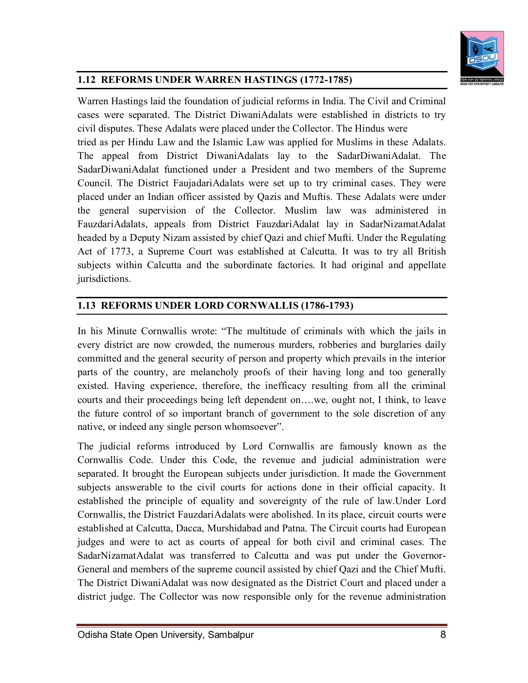

#### **1.12 REFORMS UNDER WARREN HASTINGS (1772-1785)**

Warren Hastings laid the foundation of judicial reforms in India. The Civil and Criminal cases were separated. The District DiwaniAdalats were established in districts to try civil disputes. These Adalats were placed under the Collector. The Hindus were tried as per Hindu Law and the Islamic Law was applied for Muslims in these Adalats. The appeal from District DiwaniAdalats lay to the SadarDiwaniAdalat. The SadarDiwaniAdalat functioned under a President and two members of the Supreme Council. The District FaujadariAdalats were set up to try criminal cases. They were placed under an Indian officer assisted by Qazis and Muftis. These Adalats were under the general supervision of the Collector. Muslim law was administered in FauzdariAdalats, appeals from District FauzdariAdalat lay in SadarNizamatAdalat headed by a Deputy Nizam assisted by chief Qazi and chief Mufti. Under the Regulating Act of 1773, a Supreme Court was established at Calcutta. It was to try all British subjects within Calcutta and the subordinate factories. It had original and appellate jurisdictions.

#### **1.13 REFORMS UNDER LORD CORNWALLIS (1786-1793)**

In his Minute Cornwallis wrote: "The multitude of criminals with which the jails in every district are now crowded, the numerous murders, robberies and burglaries daily committed and the general security of person and property which prevails in the interior parts of the country, are melancholy proofs of their having long and too generally existed. Having experience, therefore, the inefficacy resulting from all the criminal courts and their proceedings being left dependent on….we, ought not, I think, to leave the future control of so important branch of government to the sole discretion of any native, or indeed any single person whomsoever".

The judicial reforms introduced by Lord Cornwallis are famously known as the Cornwallis Code. Under this Code, the revenue and judicial administration were separated. It brought the European subjects under jurisdiction. It made the Government subjects answerable to the civil courts for actions done in their official capacity. It established the principle of equality and sovereignty of the rule of law.Under Lord Cornwallis, the District FauzdariAdalats were abolished. In its place, circuit courts were established at Calcutta, Dacca, Murshidabad and Patna. The Circuit courts had European judges and were to act as courts of appeal for both civil and criminal cases. The SadarNizamatAdalat was transferred to Calcutta and was put under the Governor-General and members of the supreme council assisted by chief Qazi and the Chief Mufti. The District DiwaniAdalat was now designated as the District Court and placed under a district judge. The Collector was now responsible only for the revenue administration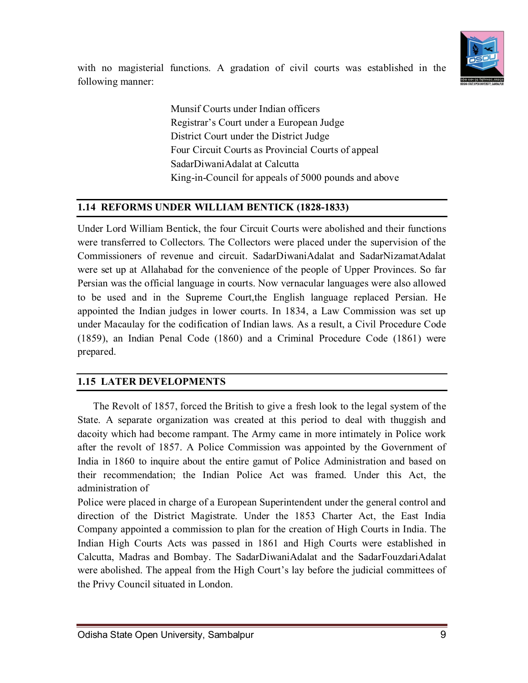

with no magisterial functions. A gradation of civil courts was established in the following manner:

> Munsif Courts under Indian officers Registrar's Court under a European Judge District Court under the District Judge Four Circuit Courts as Provincial Courts of appeal SadarDiwaniAdalat at Calcutta King-in-Council for appeals of 5000 pounds and above

#### **1.14 REFORMS UNDER WILLIAM BENTICK (1828-1833)**

Under Lord William Bentick, the four Circuit Courts were abolished and their functions were transferred to Collectors. The Collectors were placed under the supervision of the Commissioners of revenue and circuit. SadarDiwaniAdalat and SadarNizamatAdalat were set up at Allahabad for the convenience of the people of Upper Provinces. So far Persian was the official language in courts. Now vernacular languages were also allowed to be used and in the Supreme Court,the English language replaced Persian. He appointed the Indian judges in lower courts. In 1834, a Law Commission was set up under Macaulay for the codification of Indian laws. As a result, a Civil Procedure Code (1859), an Indian Penal Code (1860) and a Criminal Procedure Code (1861) were prepared.

## **1.15 LATER DEVELOPMENTS**

The Revolt of 1857, forced the British to give a fresh look to the legal system of the State. A separate organization was created at this period to deal with thuggish and dacoity which had become rampant. The Army came in more intimately in Police work after the revolt of 1857. A Police Commission was appointed by the Government of India in 1860 to inquire about the entire gamut of Police Administration and based on their recommendation; the Indian Police Act was framed. Under this Act, the administration of

Police were placed in charge of a European Superintendent under the general control and direction of the District Magistrate. Under the 1853 Charter Act, the East India Company appointed a commission to plan for the creation of High Courts in India. The Indian High Courts Acts was passed in 1861 and High Courts were established in Calcutta, Madras and Bombay. The SadarDiwaniAdalat and the SadarFouzdariAdalat were abolished. The appeal from the High Court's lay before the judicial committees of the Privy Council situated in London.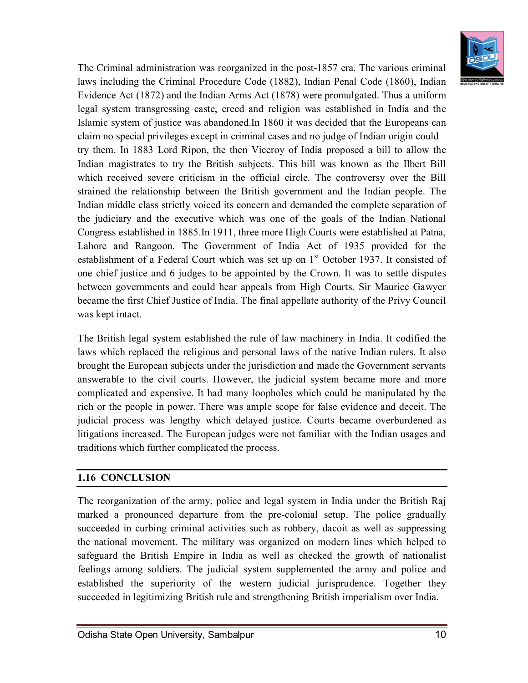

The Criminal administration was reorganized in the post-1857 era. The various criminal laws including the Criminal Procedure Code (1882), Indian Penal Code (1860), Indian Evidence Act (1872) and the Indian Arms Act (1878) were promulgated. Thus a uniform legal system transgressing caste, creed and religion was established in India and the Islamic system of justice was abandoned.In 1860 it was decided that the Europeans can claim no special privileges except in criminal cases and no judge of Indian origin could try them. In 1883 Lord Ripon, the then Viceroy of India proposed a bill to allow the Indian magistrates to try the British subjects. This bill was known as the Ilbert Bill which received severe criticism in the official circle. The controversy over the Bill strained the relationship between the British government and the Indian people. The Indian middle class strictly voiced its concern and demanded the complete separation of the judiciary and the executive which was one of the goals of the Indian National Congress established in 1885.In 1911, three more High Courts were established at Patna, Lahore and Rangoon. The Government of India Act of 1935 provided for the establishment of a Federal Court which was set up on  $1<sup>st</sup>$  October 1937. It consisted of one chief justice and 6 judges to be appointed by the Crown. It was to settle disputes between governments and could hear appeals from High Courts. Sir Maurice Gawyer became the first Chief Justice of India. The final appellate authority of the Privy Council was kept intact.

The British legal system established the rule of law machinery in India. It codified the laws which replaced the religious and personal laws of the native Indian rulers. It also brought the European subjects under the jurisdiction and made the Government servants answerable to the civil courts. However, the judicial system became more and more complicated and expensive. It had many loopholes which could be manipulated by the rich or the people in power. There was ample scope for false evidence and deceit. The judicial process was lengthy which delayed justice. Courts became overburdened as litigations increased. The European judges were not familiar with the Indian usages and traditions which further complicated the process.

#### **1.16 CONCLUSION**

The reorganization of the army, police and legal system in India under the British Raj marked a pronounced departure from the pre-colonial setup. The police gradually succeeded in curbing criminal activities such as robbery, dacoit as well as suppressing the national movement. The military was organized on modern lines which helped to safeguard the British Empire in India as well as checked the growth of nationalist feelings among soldiers. The judicial system supplemented the army and police and established the superiority of the western judicial jurisprudence. Together they succeeded in legitimizing British rule and strengthening British imperialism over India.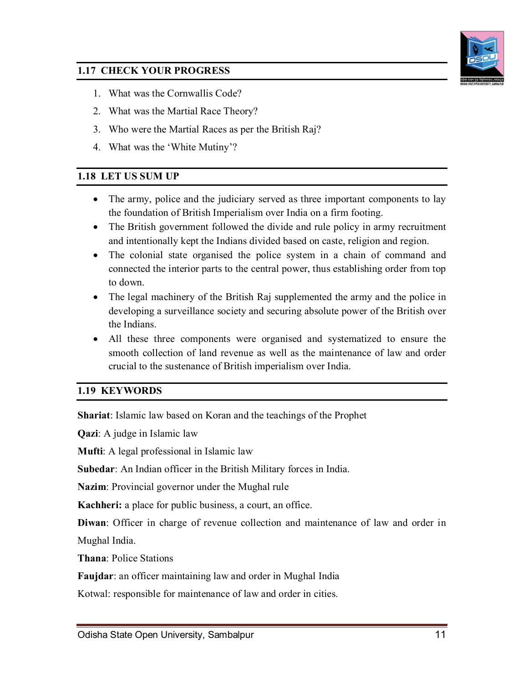

#### **1.17 CHECK YOUR PROGRESS**

- 1. What was the Cornwallis Code?
- 2. What was the Martial Race Theory?
- 3. Who were the Martial Races as per the British Raj?
- 4. What was the 'White Mutiny'?

#### **1.18 LET US SUM UP**

- The army, police and the judiciary served as three important components to lay the foundation of British Imperialism over India on a firm footing.
- The British government followed the divide and rule policy in army recruitment and intentionally kept the Indians divided based on caste, religion and region.
- The colonial state organised the police system in a chain of command and connected the interior parts to the central power, thus establishing order from top to down.
- The legal machinery of the British Raj supplemented the army and the police in developing a surveillance society and securing absolute power of the British over the Indians.
- All these three components were organised and systematized to ensure the smooth collection of land revenue as well as the maintenance of law and order crucial to the sustenance of British imperialism over India.

#### **1.19 KEYWORDS**

**Shariat**: Islamic law based on Koran and the teachings of the Prophet

**Qazi**: A judge in Islamic law

**Mufti**: A legal professional in Islamic law

**Subedar**: An Indian officer in the British Military forces in India.

**Nazim**: Provincial governor under the Mughal rule

**Kachheri:** a place for public business, a court, an office.

**Diwan**: Officer in charge of revenue collection and maintenance of law and order in

Mughal India.

**Thana**: Police Stations

**Faujdar**: an officer maintaining law and order in Mughal India

Kotwal: responsible for maintenance of law and order in cities.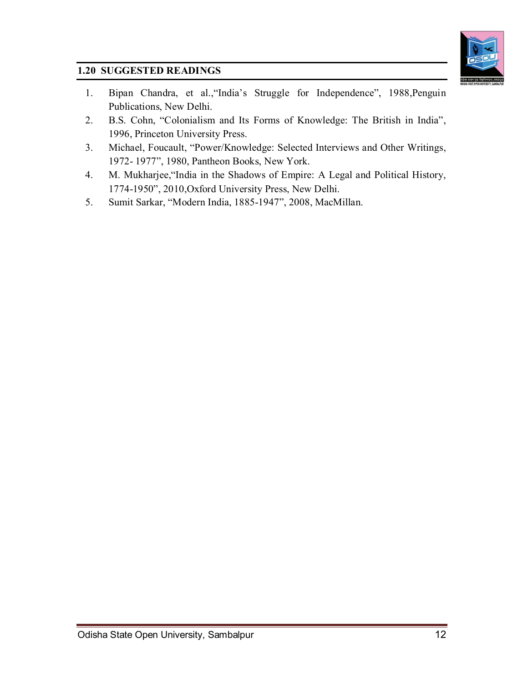

## **1.20 SUGGESTED READINGS**

- 1. Bipan Chandra, et al.,"India's Struggle for Independence", 1988,Penguin Publications, New Delhi.
- 2. B.S. Cohn, "Colonialism and Its Forms of Knowledge: The British in India", 1996, Princeton University Press.
- 3. Michael, Foucault, "Power/Knowledge: Selected Interviews and Other Writings, 1972- 1977", 1980, Pantheon Books, New York.
- 4. M. Mukharjee,"India in the Shadows of Empire: A Legal and Political History, 1774-1950", 2010,Oxford University Press, New Delhi.
- 5. Sumit Sarkar, "Modern India, 1885-1947", 2008, MacMillan.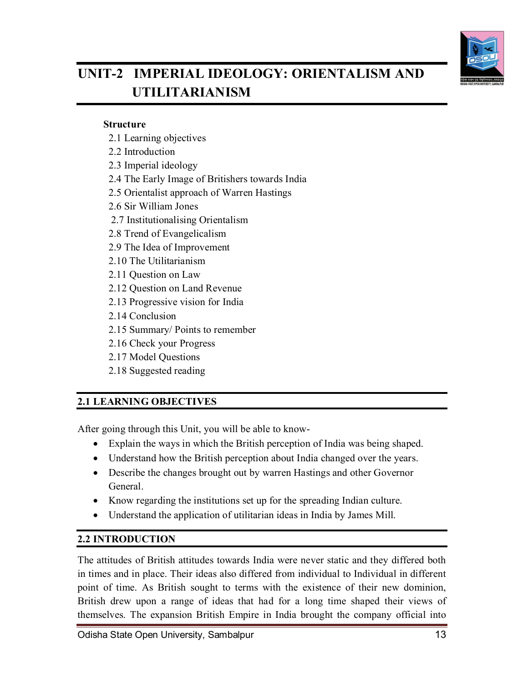

# **UNIT-2 IMPERIAL IDEOLOGY: ORIENTALISM AND UTILITARIANISM**

#### **Structure**

- 2.1 Learning objectives
- 2.2 Introduction
- 2.3 Imperial ideology
- 2.4 The Early Image of Britishers towards India
- 2.5 Orientalist approach of Warren Hastings
- 2.6 Sir William Jones
- 2.7 Institutionalising Orientalism
- 2.8 Trend of Evangelicalism
- 2.9 The Idea of Improvement
- 2.10 The Utilitarianism
- 2.11 Question on Law
- 2.12 Question on Land Revenue
- 2.13 Progressive vision for India
- 2.14 Conclusion
- 2.15 Summary/ Points to remember
- 2.16 Check your Progress
- 2.17 Model Questions
- 2.18 Suggested reading

## **2.1 LEARNING OBJECTIVES**

After going through this Unit, you will be able to know-

- Explain the ways in which the British perception of India was being shaped.
- Understand how the British perception about India changed over the years.
- Describe the changes brought out by warren Hastings and other Governor General.
- Know regarding the institutions set up for the spreading Indian culture.
- Understand the application of utilitarian ideas in India by James Mill.

#### **2.2 INTRODUCTION**

The attitudes of British attitudes towards India were never static and they differed both in times and in place. Their ideas also differed from individual to Individual in different point of time. As British sought to terms with the existence of their new dominion, British drew upon a range of ideas that had for a long time shaped their views of themselves. The expansion British Empire in India brought the company official into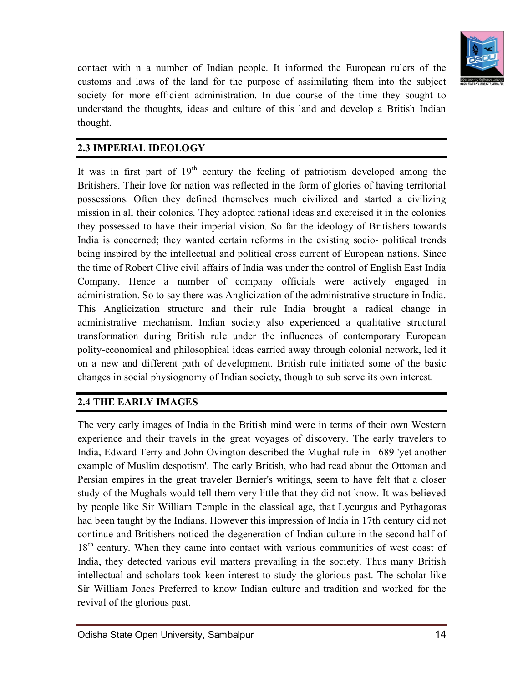

contact with n a number of Indian people. It informed the European rulers of the customs and laws of the land for the purpose of assimilating them into the subject society for more efficient administration. In due course of the time they sought to understand the thoughts, ideas and culture of this land and develop a British Indian thought.

## **2.3 IMPERIAL IDEOLOGY**

It was in first part of  $19<sup>th</sup>$  century the feeling of patriotism developed among the Britishers. Their love for nation was reflected in the form of glories of having territorial possessions. Often they defined themselves much civilized and started a civilizing mission in all their colonies. They adopted rational ideas and exercised it in the colonies they possessed to have their imperial vision. So far the ideology of Britishers towards India is concerned; they wanted certain reforms in the existing socio- political trends being inspired by the intellectual and political cross current of European nations. Since the time of Robert Clive civil affairs of India was under the control of English East India Company. Hence a number of company officials were actively engaged in administration. So to say there was Anglicization of the administrative structure in India. This Anglicization structure and their rule India brought a radical change in administrative mechanism. Indian society also experienced a qualitative structural transformation during British rule under the influences of contemporary European polity-economical and philosophical ideas carried away through colonial network, led it on a new and different path of development. British rule initiated some of the basic changes in social physiognomy of Indian society, though to sub serve its own interest.

## **2.4 THE EARLY IMAGES**

The very early images of India in the British mind were in terms of their own Western experience and their travels in the great voyages of discovery. The early travelers to India, Edward Terry and John Ovington described the Mughal rule in 1689 'yet another example of Muslim despotism'. The early British, who had read about the Ottoman and Persian empires in the great traveler Bernier's writings, seem to have felt that a closer study of the Mughals would tell them very little that they did not know. It was believed by people like Sir William Temple in the classical age, that Lycurgus and Pythagoras had been taught by the Indians. However this impression of India in 17th century did not continue and Britishers noticed the degeneration of Indian culture in the second half of 18<sup>th</sup> century. When they came into contact with various communities of west coast of India, they detected various evil matters prevailing in the society. Thus many British intellectual and scholars took keen interest to study the glorious past. The scholar like Sir William Jones Preferred to know Indian culture and tradition and worked for the revival of the glorious past.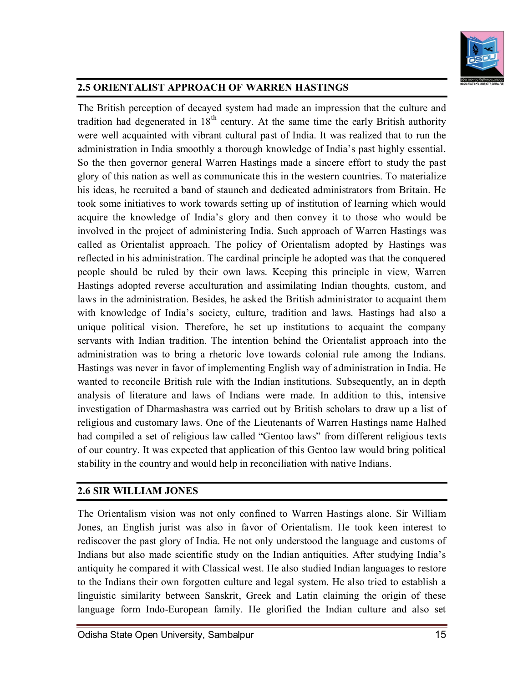

## **2.5 ORIENTALIST APPROACH OF WARREN HASTINGS**

The British perception of decayed system had made an impression that the culture and tradition had degenerated in  $18<sup>th</sup>$  century. At the same time the early British authority were well acquainted with vibrant cultural past of India. It was realized that to run the administration in India smoothly a thorough knowledge of India's past highly essential. So the then governor general Warren Hastings made a sincere effort to study the past glory of this nation as well as communicate this in the western countries. To materialize his ideas, he recruited a band of staunch and dedicated administrators from Britain. He took some initiatives to work towards setting up of institution of learning which would acquire the knowledge of India's glory and then convey it to those who would be involved in the project of administering India. Such approach of Warren Hastings was called as Orientalist approach. The policy of Orientalism adopted by Hastings was reflected in his administration. The cardinal principle he adopted was that the conquered people should be ruled by their own laws. Keeping this principle in view, Warren Hastings adopted reverse acculturation and assimilating Indian thoughts, custom, and laws in the administration. Besides, he asked the British administrator to acquaint them with knowledge of India's society, culture, tradition and laws. Hastings had also a unique political vision. Therefore, he set up institutions to acquaint the company servants with Indian tradition. The intention behind the Orientalist approach into the administration was to bring a rhetoric love towards colonial rule among the Indians. Hastings was never in favor of implementing English way of administration in India. He wanted to reconcile British rule with the Indian institutions. Subsequently, an in depth analysis of literature and laws of Indians were made. In addition to this, intensive investigation of Dharmashastra was carried out by British scholars to draw up a list of religious and customary laws. One of the Lieutenants of Warren Hastings name Halhed had compiled a set of religious law called "Gentoo laws" from different religious texts of our country. It was expected that application of this Gentoo law would bring political stability in the country and would help in reconciliation with native Indians.

#### **2.6 SIR WILLIAM JONES**

The Orientalism vision was not only confined to Warren Hastings alone. Sir William Jones, an English jurist was also in favor of Orientalism. He took keen interest to rediscover the past glory of India. He not only understood the language and customs of Indians but also made scientific study on the Indian antiquities. After studying India's antiquity he compared it with Classical west. He also studied Indian languages to restore to the Indians their own forgotten culture and legal system. He also tried to establish a linguistic similarity between Sanskrit, Greek and Latin claiming the origin of these language form Indo-European family. He glorified the Indian culture and also set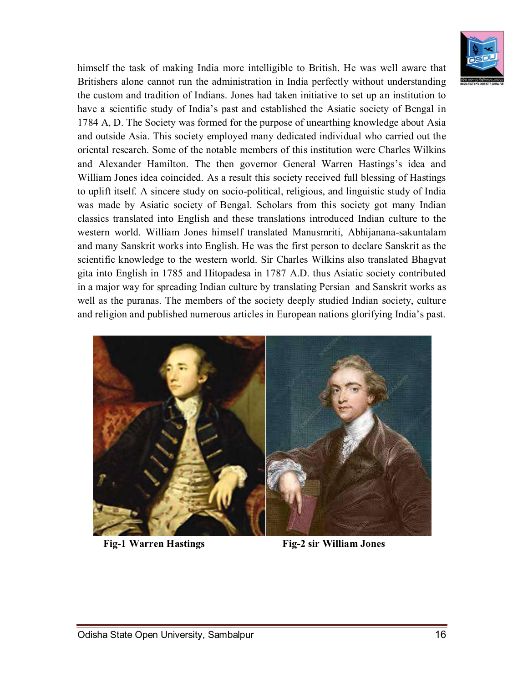

himself the task of making India more intelligible to British. He was well aware that Britishers alone cannot run the administration in India perfectly without understanding the custom and tradition of Indians. Jones had taken initiative to set up an institution to have a scientific study of India's past and established the Asiatic society of Bengal in 1784 A, D. The Society was formed for the purpose of unearthing knowledge about Asia and outside Asia. This society employed many dedicated individual who carried out the oriental research. Some of the notable members of this institution were Charles Wilkins and Alexander Hamilton. The then governor General Warren Hastings's idea and William Jones idea coincided. As a result this society received full blessing of Hastings to uplift itself. A sincere study on socio-political, religious, and linguistic study of India was made by Asiatic society of Bengal. Scholars from this society got many Indian classics translated into English and these translations introduced Indian culture to the western world. William Jones himself translated Manusmriti, Abhijanana-sakuntalam and many Sanskrit works into English. He was the first person to declare Sanskrit as the scientific knowledge to the western world. Sir Charles Wilkins also translated Bhagvat gita into English in 1785 and Hitopadesa in 1787 A.D. thus Asiatic society contributed in a major way for spreading Indian culture by translating Persian and Sanskrit works as well as the puranas. The members of the society deeply studied Indian society, culture and religion and published numerous articles in European nations glorifying India's past.



 **Fig-1 Warren Hastings Fig-2 sir William Jones**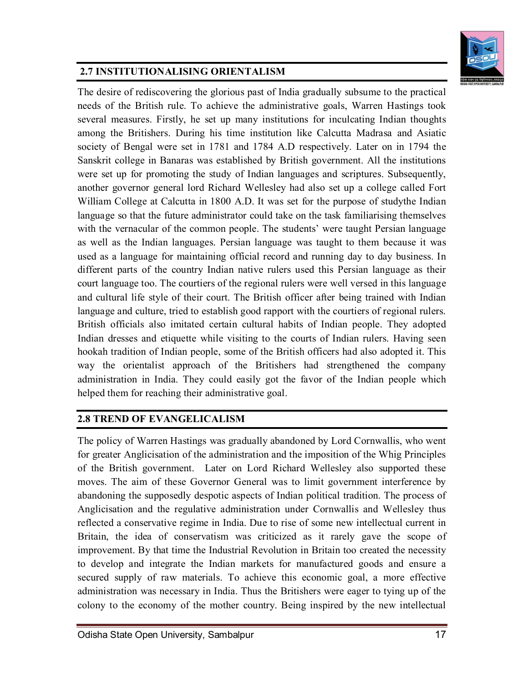

## **2.7 INSTITUTIONALISING ORIENTALISM**

The desire of rediscovering the glorious past of India gradually subsume to the practical needs of the British rule. To achieve the administrative goals, Warren Hastings took several measures. Firstly, he set up many institutions for inculcating Indian thoughts among the Britishers. During his time institution like Calcutta Madrasa and Asiatic society of Bengal were set in 1781 and 1784 A.D respectively. Later on in 1794 the Sanskrit college in Banaras was established by British government. All the institutions were set up for promoting the study of Indian languages and scriptures. Subsequently, another governor general lord Richard Wellesley had also set up a college called Fort William College at Calcutta in 1800 A.D. It was set for the purpose of studythe Indian language so that the future administrator could take on the task familiarising themselves with the vernacular of the common people. The students' were taught Persian language as well as the Indian languages. Persian language was taught to them because it was used as a language for maintaining official record and running day to day business. In different parts of the country Indian native rulers used this Persian language as their court language too. The courtiers of the regional rulers were well versed in this language and cultural life style of their court. The British officer after being trained with Indian language and culture, tried to establish good rapport with the courtiers of regional rulers. British officials also imitated certain cultural habits of Indian people. They adopted Indian dresses and etiquette while visiting to the courts of Indian rulers. Having seen hookah tradition of Indian people, some of the British officers had also adopted it. This way the orientalist approach of the Britishers had strengthened the company administration in India. They could easily got the favor of the Indian people which helped them for reaching their administrative goal.

#### **2.8 TREND OF EVANGELICALISM**

The policy of Warren Hastings was gradually abandoned by Lord Cornwallis, who went for greater Anglicisation of the administration and the imposition of the Whig Principles of the British government. Later on Lord Richard Wellesley also supported these moves. The aim of these Governor General was to limit government interference by abandoning the supposedly despotic aspects of Indian political tradition. The process of Anglicisation and the regulative administration under Cornwallis and Wellesley thus reflected a conservative regime in India. Due to rise of some new intellectual current in Britain, the idea of conservatism was criticized as it rarely gave the scope of improvement. By that time the Industrial Revolution in Britain too created the necessity to develop and integrate the Indian markets for manufactured goods and ensure a secured supply of raw materials. To achieve this economic goal, a more effective administration was necessary in India. Thus the Britishers were eager to tying up of the colony to the economy of the mother country. Being inspired by the new intellectual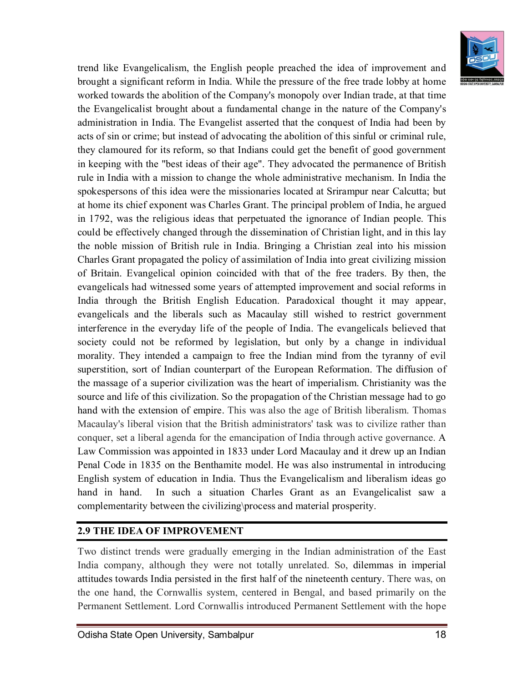

trend like Evangelicalism, the English people preached the idea of improvement and brought a significant reform in India. While the pressure of the free trade lobby at home worked towards the abolition of the Company's monopoly over Indian trade, at that time the Evangelicalist brought about a fundamental change in the nature of the Company's administration in India. The Evangelist asserted that the conquest of India had been by acts of sin or crime; but instead of advocating the abolition of this sinful or criminal rule, they clamoured for its reform, so that Indians could get the benefit of good government in keeping with the "best ideas of their age". They advocated the permanence of British rule in India with a mission to change the whole administrative mechanism. In India the spokespersons of this idea were the missionaries located at Srirampur near Calcutta; but at home its chief exponent was Charles Grant. The principal problem of India, he argued in 1792, was the religious ideas that perpetuated the ignorance of Indian people. This could be effectively changed through the dissemination of Christian light, and in this lay the noble mission of British rule in India. Bringing a Christian zeal into his mission Charles Grant propagated the policy of assimilation of India into great civilizing mission of Britain. Evangelical opinion coincided with that of the free traders. By then, the evangelicals had witnessed some years of attempted improvement and social reforms in India through the British English Education. Paradoxical thought it may appear, evangelicals and the liberals such as Macaulay still wished to restrict government interference in the everyday life of the people of India. The evangelicals believed that society could not be reformed by legislation, but only by a change in individual morality. They intended a campaign to free the Indian mind from the tyranny of evil superstition, sort of Indian counterpart of the European Reformation. The diffusion of the massage of a superior civilization was the heart of imperialism. Christianity was the source and life of this civilization. So the propagation of the Christian message had to go hand with the extension of empire. This was also the age of British liberalism. Thomas Macaulay's liberal vision that the British administrators' task was to civilize rather than conquer, set a liberal agenda for the emancipation of India through active governance. A Law Commission was appointed in 1833 under Lord Macaulay and it drew up an Indian Penal Code in 1835 on the Benthamite model. He was also instrumental in introducing English system of education in India. Thus the Evangelicalism and liberalism ideas go hand in hand. In such a situation Charles Grant as an Evangelicalist saw a complementarity between the civilizing\process and material prosperity.

#### **2.9 THE IDEA OF IMPROVEMENT**

Two distinct trends were gradually emerging in the Indian administration of the East India company, although they were not totally unrelated. So, dilemmas in imperial attitudes towards India persisted in the first half of the nineteenth century. There was, on the one hand, the Cornwallis system, centered in Bengal, and based primarily on the Permanent Settlement. Lord Cornwallis introduced Permanent Settlement with the hope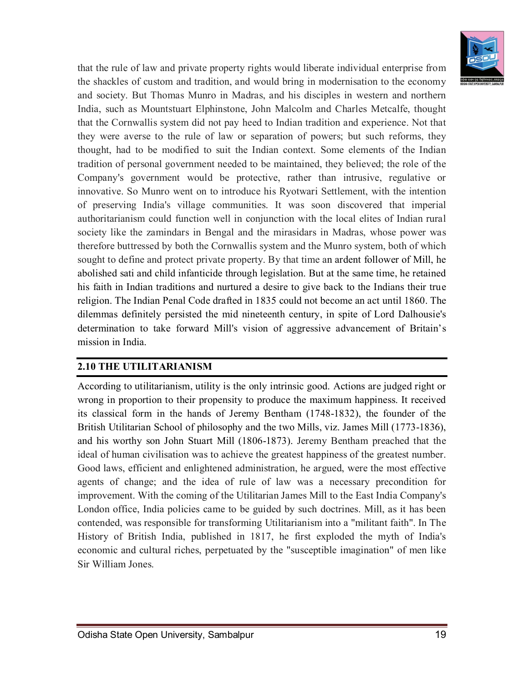

that the rule of law and private property rights would liberate individual enterprise from the shackles of custom and tradition, and would bring in modernisation to the economy and society. But Thomas Munro in Madras, and his disciples in western and northern India, such as Mountstuart Elphinstone, John Malcolm and Charles Metcalfe, thought that the Cornwallis system did not pay heed to Indian tradition and experience. Not that they were averse to the rule of law or separation of powers; but such reforms, they thought, had to be modified to suit the Indian context. Some elements of the Indian tradition of personal government needed to be maintained, they believed; the role of the Company's government would be protective, rather than intrusive, regulative or innovative. So Munro went on to introduce his Ryotwari Settlement, with the intention of preserving India's village communities. It was soon discovered that imperial authoritarianism could function well in conjunction with the local elites of Indian rural society like the zamindars in Bengal and the mirasidars in Madras, whose power was therefore buttressed by both the Cornwallis system and the Munro system, both of which sought to define and protect private property. By that time an ardent follower of Mill, he abolished sati and child infanticide through legislation. But at the same time, he retained his faith in Indian traditions and nurtured a desire to give back to the Indians their true religion. The Indian Penal Code drafted in 1835 could not become an act until 1860. The dilemmas definitely persisted the mid nineteenth century, in spite of Lord Dalhousie's determination to take forward Mill's vision of aggressive advancement of Britain's mission in India.

#### **2.10 THE UTILITARIANISM**

According to utilitarianism, utility is the only intrinsic good. Actions are judged right or wrong in proportion to their propensity to produce the maximum happiness. It received its classical form in the hands of Jeremy Bentham (1748-1832), the founder of the British Utilitarian School of philosophy and the two Mills, viz. James Mill (1773-1836), and his worthy son John Stuart Mill (1806-1873). Jeremy Bentham preached that the ideal of human civilisation was to achieve the greatest happiness of the greatest number. Good laws, efficient and enlightened administration, he argued, were the most effective agents of change; and the idea of rule of law was a necessary precondition for improvement. With the coming of the Utilitarian James Mill to the East India Company's London office, India policies came to be guided by such doctrines. Mill, as it has been contended, was responsible for transforming Utilitarianism into a "militant faith". In The History of British India, published in 1817, he first exploded the myth of India's economic and cultural riches, perpetuated by the "susceptible imagination" of men like Sir William Jones.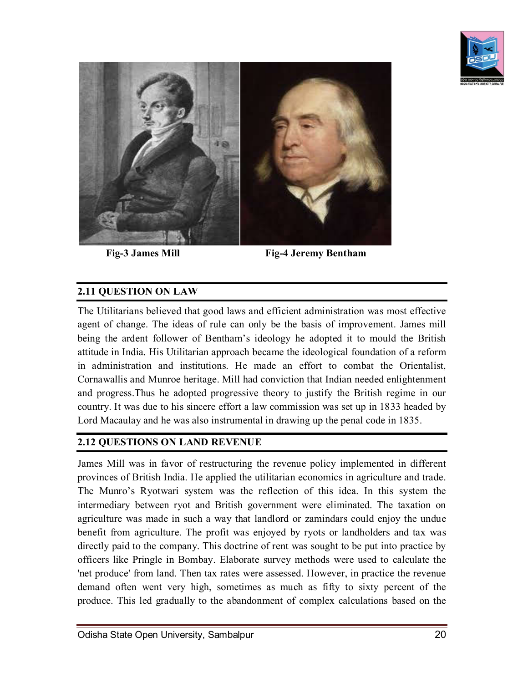



Fig-3 James Mill Fig-4 Jeremy Bentham

#### **2.11 QUESTION ON LAW**

The Utilitarians believed that good laws and efficient administration was most effective agent of change. The ideas of rule can only be the basis of improvement. James mill being the ardent follower of Bentham's ideology he adopted it to mould the British attitude in India. His Utilitarian approach became the ideological foundation of a reform in administration and institutions. He made an effort to combat the Orientalist, Cornawallis and Munroe heritage. Mill had conviction that Indian needed enlightenment and progress.Thus he adopted progressive theory to justify the British regime in our country. It was due to his sincere effort a law commission was set up in 1833 headed by Lord Macaulay and he was also instrumental in drawing up the penal code in 1835.

#### **2.12 QUESTIONS ON LAND REVENUE**

James Mill was in favor of restructuring the revenue policy implemented in different provinces of British India. He applied the utilitarian economics in agriculture and trade. The Munro's Ryotwari system was the reflection of this idea. In this system the intermediary between ryot and British government were eliminated. The taxation on agriculture was made in such a way that landlord or zamindars could enjoy the undue benefit from agriculture. The profit was enjoyed by ryots or landholders and tax was directly paid to the company. This doctrine of rent was sought to be put into practice by officers like Pringle in Bombay. Elaborate survey methods were used to calculate the 'net produce' from land. Then tax rates were assessed. However, in practice the revenue demand often went very high, sometimes as much as fifty to sixty percent of the produce. This led gradually to the abandonment of complex calculations based on the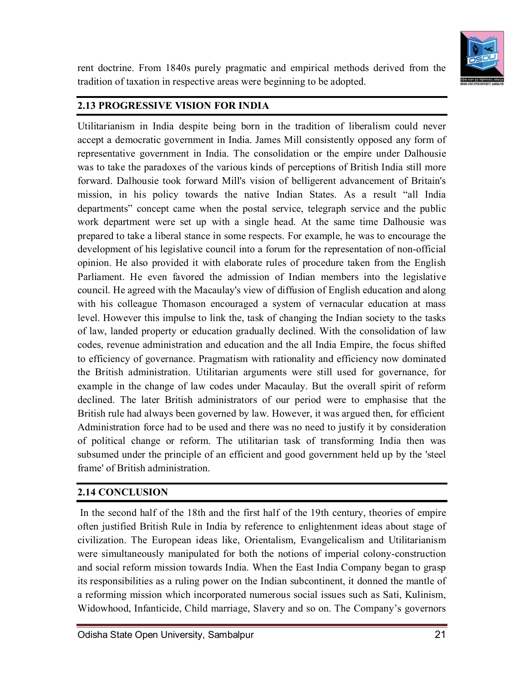

rent doctrine. From 1840s purely pragmatic and empirical methods derived from the tradition of taxation in respective areas were beginning to be adopted.

#### **2.13 PROGRESSIVE VISION FOR INDIA**

Utilitarianism in India despite being born in the tradition of liberalism could never accept a democratic government in India. James Mill consistently opposed any form of representative government in India. The consolidation or the empire under Dalhousie was to take the paradoxes of the various kinds of perceptions of British India still more forward. Dalhousie took forward Mill's vision of belligerent advancement of Britain's mission, in his policy towards the native Indian States. As a result "all India departments" concept came when the postal service, telegraph service and the public work department were set up with a single head. At the same time Dalhousie was prepared to take a liberal stance in some respects. For example, he was to encourage the development of his legislative council into a forum for the representation of non-official opinion. He also provided it with elaborate rules of procedure taken from the English Parliament. He even favored the admission of Indian members into the legislative council. He agreed with the Macaulay's view of diffusion of English education and along with his colleague Thomason encouraged a system of vernacular education at mass level. However this impulse to link the, task of changing the Indian society to the tasks of law, landed property or education gradually declined. With the consolidation of law codes, revenue administration and education and the all India Empire, the focus shifted to efficiency of governance. Pragmatism with rationality and efficiency now dominated the British administration. Utilitarian arguments were still used for governance, for example in the change of law codes under Macaulay. But the overall spirit of reform declined. The later British administrators of our period were to emphasise that the British rule had always been governed by law. However, it was argued then, for efficient Administration force had to be used and there was no need to justify it by consideration of political change or reform. The utilitarian task of transforming India then was subsumed under the principle of an efficient and good government held up by the 'steel frame' of British administration.

#### **2.14 CONCLUSION**

In the second half of the 18th and the first half of the 19th century, theories of empire often justified British Rule in India by reference to enlightenment ideas about stage of civilization. The European ideas like, Orientalism, Evangelicalism and Utilitarianism were simultaneously manipulated for both the notions of imperial colony-construction and social reform mission towards India. When the East India Company began to grasp its responsibilities as a ruling power on the Indian subcontinent, it donned the mantle of a reforming mission which incorporated numerous social issues such as Sati, Kulinism, Widowhood, Infanticide, Child marriage, Slavery and so on. The Company's governors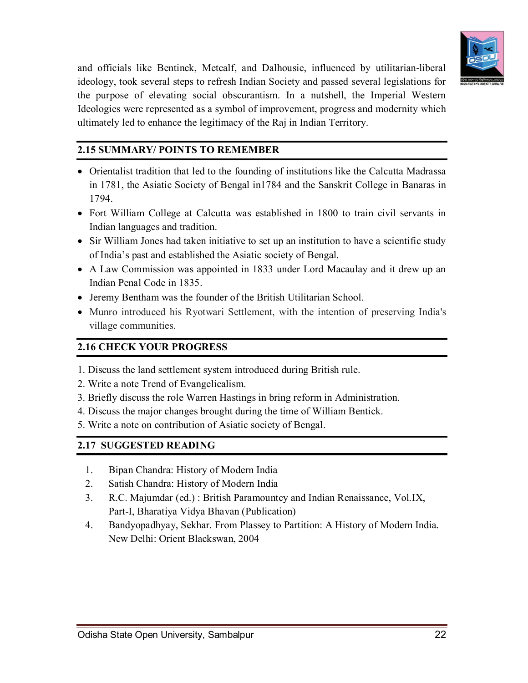

and officials like Bentinck, Metcalf, and Dalhousie, influenced by utilitarian-liberal ideology, took several steps to refresh Indian Society and passed several legislations for the purpose of elevating social obscurantism. In a nutshell, the Imperial Western Ideologies were represented as a symbol of improvement, progress and modernity which ultimately led to enhance the legitimacy of the Raj in Indian Territory.

#### **2.15 SUMMARY/ POINTS TO REMEMBER**

- Orientalist tradition that led to the founding of institutions like the Calcutta Madrassa in 1781, the Asiatic Society of Bengal in1784 and the Sanskrit College in Banaras in 1794.
- Fort William College at Calcutta was established in 1800 to train civil servants in Indian languages and tradition.
- Sir William Jones had taken initiative to set up an institution to have a scientific study of India's past and established the Asiatic society of Bengal.
- A Law Commission was appointed in 1833 under Lord Macaulay and it drew up an Indian Penal Code in 1835.
- Jeremy Bentham was the founder of the British Utilitarian School.
- Munro introduced his Ryotwari Settlement, with the intention of preserving India's village communities.

#### **2.16 CHECK YOUR PROGRESS**

- 1. Discuss the land settlement system introduced during British rule.
- 2. Write a note Trend of Evangelicalism.
- 3. Briefly discuss the role Warren Hastings in bring reform in Administration.
- 4. Discuss the major changes brought during the time of William Bentick.
- 5. Write a note on contribution of Asiatic society of Bengal.

#### **2.17 SUGGESTED READING**

- 1. Bipan Chandra: History of Modern India
- 2. Satish Chandra: History of Modern India
- 3. R.C. Majumdar (ed.) : British Paramountcy and Indian Renaissance, Vol.IX, Part-I, Bharatiya Vidya Bhavan (Publication)
- 4. Bandyopadhyay, Sekhar. From Plassey to Partition: A History of Modern India. New Delhi: Orient Blackswan, 2004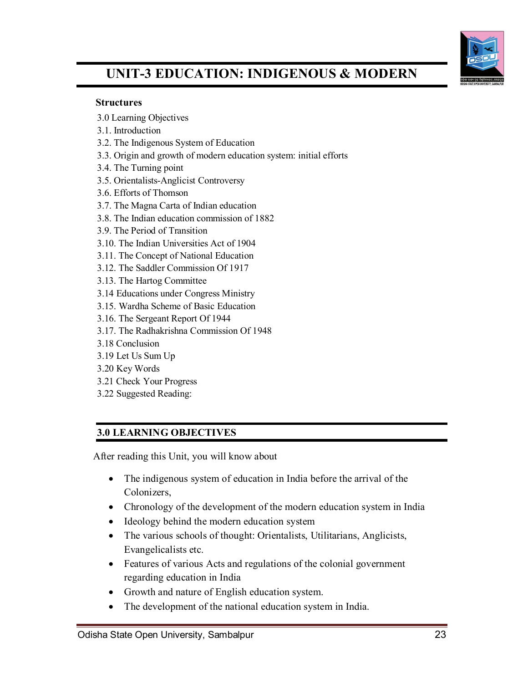

## **UNIT-3 EDUCATION: INDIGENOUS & MODERN**

#### **Structures**

- 3.0 Learning Objectives
- 3.1. Introduction
- 3.2. The Indigenous System of Education
- 3.3. Origin and growth of modern education system: initial efforts
- 3.4. The Turning point
- 3.5. Orientalists-Anglicist Controversy
- 3.6. Efforts of Thomson
- 3.7. The Magna Carta of Indian education
- 3.8. The Indian education commission of 1882
- 3.9. The Period of Transition
- 3.10. The Indian Universities Act of 1904
- 3.11. The Concept of National Education
- 3.12. The Saddler Commission Of 1917
- 3.13. The Hartog Committee
- 3.14 Educations under Congress Ministry
- 3.15. Wardha Scheme of Basic Education
- 3.16. The Sergeant Report Of 1944
- 3.17. The Radhakrishna Commission Of 1948
- 3.18 Conclusion
- 3.19 Let Us Sum Up
- 3.20 Key Words
- 3.21 Check Your Progress
- 3.22 Suggested Reading:

## **3.0 LEARNING OBJECTIVES**

After reading this Unit, you will know about

- The indigenous system of education in India before the arrival of the Colonizers,
- Chronology of the development of the modern education system in India
- Ideology behind the modern education system
- The various schools of thought: Orientalists, Utilitarians, Anglicists, Evangelicalists etc.
- Features of various Acts and regulations of the colonial government regarding education in India
- Growth and nature of English education system.
- The development of the national education system in India.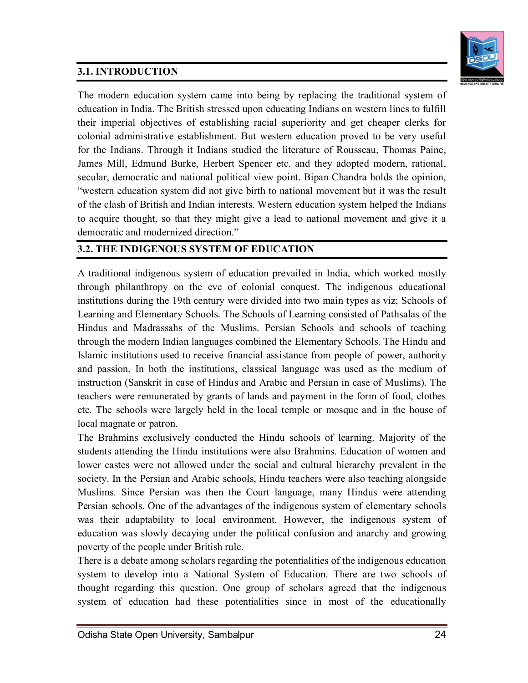## **3.1. INTRODUCTION**



The modern education system came into being by replacing the traditional system of education in India. The British stressed upon educating Indians on western lines to fulfill their imperial objectives of establishing racial superiority and get cheaper clerks for colonial administrative establishment. But western education proved to be very useful for the Indians. Through it Indians studied the literature of Rousseau, Thomas Paine, James Mill, Edmund Burke, Herbert Spencer etc. and they adopted modern, rational, secular, democratic and national political view point. Bipan Chandra holds the opinion, "western education system did not give birth to national movement but it was the result of the clash of British and Indian interests. Western education system helped the Indians to acquire thought, so that they might give a lead to national movement and give it a democratic and modernized direction."

## **3.2. THE INDIGENOUS SYSTEM OF EDUCATION**

A traditional indigenous system of education prevailed in India, which worked mostly through philanthropy on the eve of colonial conquest. The indigenous educational institutions during the 19th century were divided into two main types as viz; Schools of Learning and Elementary Schools. The Schools of Learning consisted of Pathsalas of the Hindus and Madrassahs of the Muslims. Persian Schools and schools of teaching through the modern Indian languages combined the Elementary Schools. The Hindu and Islamic institutions used to receive financial assistance from people of power, authority and passion. In both the institutions, classical language was used as the medium of instruction (Sanskrit in case of Hindus and Arabic and Persian in case of Muslims). The teachers were remunerated by grants of lands and payment in the form of food, clothes etc. The schools were largely held in the local temple or mosque and in the house of local magnate or patron.

The Brahmins exclusively conducted the Hindu schools of learning. Majority of the students attending the Hindu institutions were also Brahmins. Education of women and lower castes were not allowed under the social and cultural hierarchy prevalent in the society. In the Persian and Arabic schools, Hindu teachers were also teaching alongside Muslims. Since Persian was then the Court language, many Hindus were attending Persian schools. One of the advantages of the indigenous system of elementary schools was their adaptability to local environment. However, the indigenous system of education was slowly decaying under the political confusion and anarchy and growing poverty of the people under British rule.

There is a debate among scholars regarding the potentialities of the indigenous education system to develop into a National System of Education. There are two schools of thought regarding this question. One group of scholars agreed that the indigenous system of education had these potentialities since in most of the educationally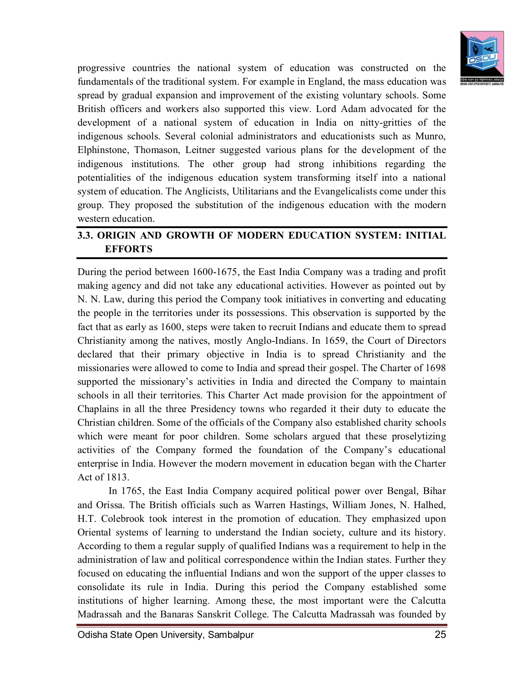

progressive countries the national system of education was constructed on the fundamentals of the traditional system. For example in England, the mass education was spread by gradual expansion and improvement of the existing voluntary schools. Some British officers and workers also supported this view. Lord Adam advocated for the development of a national system of education in India on nitty-gritties of the indigenous schools. Several colonial administrators and educationists such as Munro, Elphinstone, Thomason, Leitner suggested various plans for the development of the indigenous institutions. The other group had strong inhibitions regarding the potentialities of the indigenous education system transforming itself into a national system of education. The Anglicists, Utilitarians and the Evangelicalists come under this group. They proposed the substitution of the indigenous education with the modern western education.

## **3.3. ORIGIN AND GROWTH OF MODERN EDUCATION SYSTEM: INITIAL EFFORTS**

During the period between 1600-1675, the East India Company was a trading and profit making agency and did not take any educational activities. However as pointed out by N. N. Law, during this period the Company took initiatives in converting and educating the people in the territories under its possessions. This observation is supported by the fact that as early as 1600, steps were taken to recruit Indians and educate them to spread Christianity among the natives, mostly Anglo-Indians. In 1659, the Court of Directors declared that their primary objective in India is to spread Christianity and the missionaries were allowed to come to India and spread their gospel. The Charter of 1698 supported the missionary's activities in India and directed the Company to maintain schools in all their territories. This Charter Act made provision for the appointment of Chaplains in all the three Presidency towns who regarded it their duty to educate the Christian children. Some of the officials of the Company also established charity schools which were meant for poor children. Some scholars argued that these proselytizing activities of the Company formed the foundation of the Company's educational enterprise in India. However the modern movement in education began with the Charter Act of 1813.

In 1765, the East India Company acquired political power over Bengal, Bihar and Orissa. The British officials such as Warren Hastings, William Jones, N. Halhed, H.T. Colebrook took interest in the promotion of education. They emphasized upon Oriental systems of learning to understand the Indian society, culture and its history. According to them a regular supply of qualified Indians was a requirement to help in the administration of law and political correspondence within the Indian states. Further they focused on educating the influential Indians and won the support of the upper classes to consolidate its rule in India. During this period the Company established some institutions of higher learning. Among these, the most important were the Calcutta Madrassah and the Banaras Sanskrit College. The Calcutta Madrassah was founded by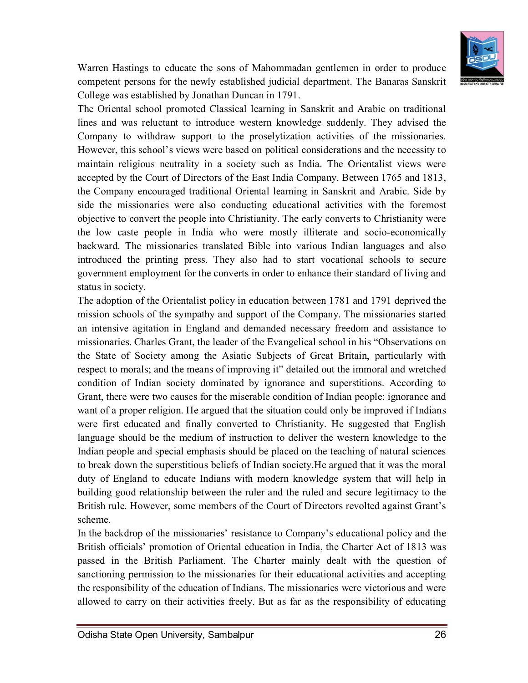

Warren Hastings to educate the sons of Mahommadan gentlemen in order to produce competent persons for the newly established judicial department. The Banaras Sanskrit College was established by Jonathan Duncan in 1791.

The Oriental school promoted Classical learning in Sanskrit and Arabic on traditional lines and was reluctant to introduce western knowledge suddenly. They advised the Company to withdraw support to the proselytization activities of the missionaries. However, this school's views were based on political considerations and the necessity to maintain religious neutrality in a society such as India. The Orientalist views were accepted by the Court of Directors of the East India Company. Between 1765 and 1813, the Company encouraged traditional Oriental learning in Sanskrit and Arabic. Side by side the missionaries were also conducting educational activities with the foremost objective to convert the people into Christianity. The early converts to Christianity were the low caste people in India who were mostly illiterate and socio-economically backward. The missionaries translated Bible into various Indian languages and also introduced the printing press. They also had to start vocational schools to secure government employment for the converts in order to enhance their standard of living and status in society.

The adoption of the Orientalist policy in education between 1781 and 1791 deprived the mission schools of the sympathy and support of the Company. The missionaries started an intensive agitation in England and demanded necessary freedom and assistance to missionaries. Charles Grant, the leader of the Evangelical school in his "Observations on the State of Society among the Asiatic Subjects of Great Britain, particularly with respect to morals; and the means of improving it" detailed out the immoral and wretched condition of Indian society dominated by ignorance and superstitions. According to Grant, there were two causes for the miserable condition of Indian people: ignorance and want of a proper religion. He argued that the situation could only be improved if Indians were first educated and finally converted to Christianity. He suggested that English language should be the medium of instruction to deliver the western knowledge to the Indian people and special emphasis should be placed on the teaching of natural sciences to break down the superstitious beliefs of Indian society.He argued that it was the moral duty of England to educate Indians with modern knowledge system that will help in building good relationship between the ruler and the ruled and secure legitimacy to the British rule. However, some members of the Court of Directors revolted against Grant's scheme.

In the backdrop of the missionaries' resistance to Company's educational policy and the British officials' promotion of Oriental education in India, the Charter Act of 1813 was passed in the British Parliament. The Charter mainly dealt with the question of sanctioning permission to the missionaries for their educational activities and accepting the responsibility of the education of Indians. The missionaries were victorious and were allowed to carry on their activities freely. But as far as the responsibility of educating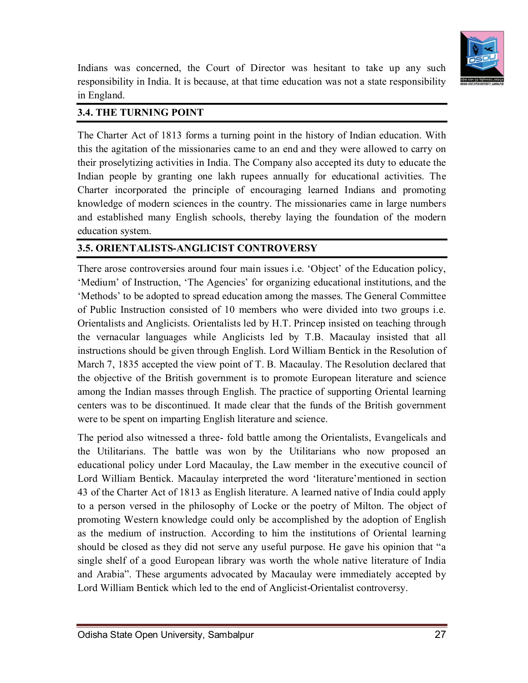

Indians was concerned, the Court of Director was hesitant to take up any such responsibility in India. It is because, at that time education was not a state responsibility in England.

#### **3.4. THE TURNING POINT**

The Charter Act of 1813 forms a turning point in the history of Indian education. With this the agitation of the missionaries came to an end and they were allowed to carry on their proselytizing activities in India. The Company also accepted its duty to educate the Indian people by granting one lakh rupees annually for educational activities. The Charter incorporated the principle of encouraging learned Indians and promoting knowledge of modern sciences in the country. The missionaries came in large numbers and established many English schools, thereby laying the foundation of the modern education system.

#### **3.5. ORIENTALISTS-ANGLICIST CONTROVERSY**

There arose controversies around four main issues i.e. 'Object' of the Education policy, 'Medium' of Instruction, 'The Agencies' for organizing educational institutions, and the 'Methods' to be adopted to spread education among the masses. The General Committee of Public Instruction consisted of 10 members who were divided into two groups i.e. Orientalists and Anglicists. Orientalists led by H.T. Princep insisted on teaching through the vernacular languages while Anglicists led by T.B. Macaulay insisted that all instructions should be given through English. Lord William Bentick in the Resolution of March 7, 1835 accepted the view point of T. B. Macaulay. The Resolution declared that the objective of the British government is to promote European literature and science among the Indian masses through English. The practice of supporting Oriental learning centers was to be discontinued. It made clear that the funds of the British government were to be spent on imparting English literature and science.

The period also witnessed a three- fold battle among the Orientalists, Evangelicals and the Utilitarians. The battle was won by the Utilitarians who now proposed an educational policy under Lord Macaulay, the Law member in the executive council of Lord William Bentick. Macaulay interpreted the word 'literature'mentioned in section 43 of the Charter Act of 1813 as English literature. A learned native of India could apply to a person versed in the philosophy of Locke or the poetry of Milton. The object of promoting Western knowledge could only be accomplished by the adoption of English as the medium of instruction. According to him the institutions of Oriental learning should be closed as they did not serve any useful purpose. He gave his opinion that "a single shelf of a good European library was worth the whole native literature of India and Arabia". These arguments advocated by Macaulay were immediately accepted by Lord William Bentick which led to the end of Anglicist-Orientalist controversy.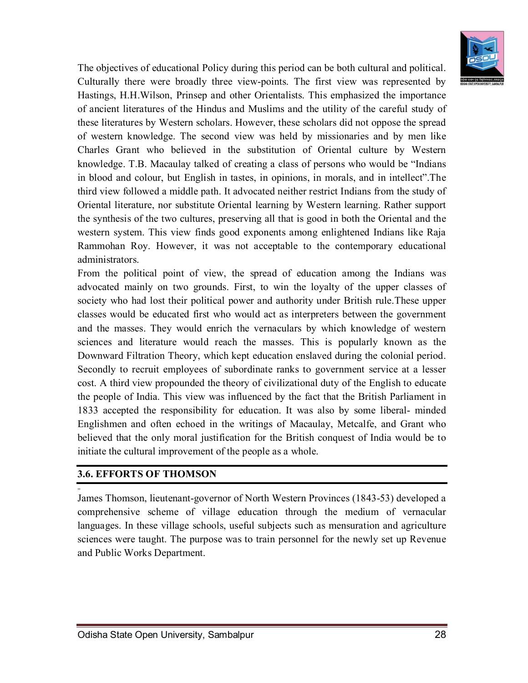

The objectives of educational Policy during this period can be both cultural and political. Culturally there were broadly three view-points. The first view was represented by Hastings, H.H.Wilson, Prinsep and other Orientalists. This emphasized the importance of ancient literatures of the Hindus and Muslims and the utility of the careful study of these literatures by Western scholars. However, these scholars did not oppose the spread of western knowledge. The second view was held by missionaries and by men like Charles Grant who believed in the substitution of Oriental culture by Western knowledge. T.B. Macaulay talked of creating a class of persons who would be "Indians in blood and colour, but English in tastes, in opinions, in morals, and in intellect".The third view followed a middle path. It advocated neither restrict Indians from the study of Oriental literature, nor substitute Oriental learning by Western learning. Rather support the synthesis of the two cultures, preserving all that is good in both the Oriental and the western system. This view finds good exponents among enlightened Indians like Raja Rammohan Roy. However, it was not acceptable to the contemporary educational administrators.

From the political point of view, the spread of education among the Indians was advocated mainly on two grounds. First, to win the loyalty of the upper classes of society who had lost their political power and authority under British rule.These upper classes would be educated first who would act as interpreters between the government and the masses. They would enrich the vernaculars by which knowledge of western sciences and literature would reach the masses. This is popularly known as the Downward Filtration Theory, which kept education enslaved during the colonial period. Secondly to recruit employees of subordinate ranks to government service at a lesser cost. A third view propounded the theory of civilizational duty of the English to educate the people of India. This view was influenced by the fact that the British Parliament in 1833 accepted the responsibility for education. It was also by some liberal- minded Englishmen and often echoed in the writings of Macaulay, Metcalfe, and Grant who believed that the only moral justification for the British conquest of India would be to initiate the cultural improvement of the people as a whole.

#### **3.6. EFFORTS OF THOMSON**

,,

James Thomson, lieutenant-governor of North Western Provinces (1843-53) developed a comprehensive scheme of village education through the medium of vernacular languages. In these village schools, useful subjects such as mensuration and agriculture sciences were taught. The purpose was to train personnel for the newly set up Revenue and Public Works Department.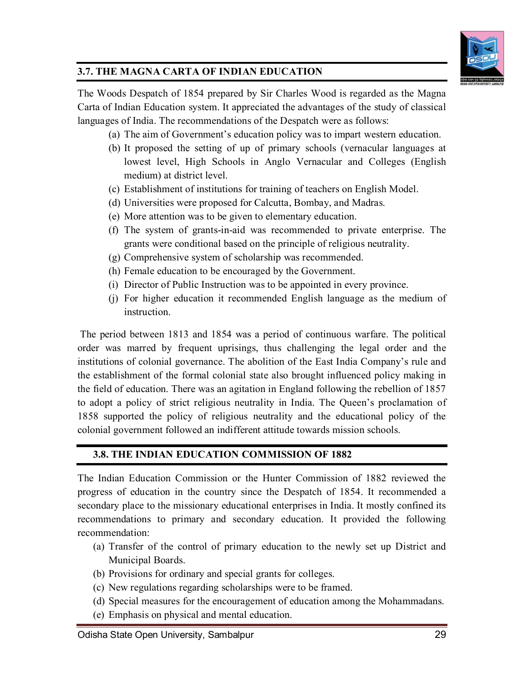

## **3.7. THE MAGNA CARTA OF INDIAN EDUCATION**

The Woods Despatch of 1854 prepared by Sir Charles Wood is regarded as the Magna Carta of Indian Education system. It appreciated the advantages of the study of classical languages of India. The recommendations of the Despatch were as follows:

- (a) The aim of Government's education policy was to impart western education.
- (b) It proposed the setting of up of primary schools (vernacular languages at lowest level, High Schools in Anglo Vernacular and Colleges (English medium) at district level.
- (c) Establishment of institutions for training of teachers on English Model.
- (d) Universities were proposed for Calcutta, Bombay, and Madras.
- (e) More attention was to be given to elementary education.
- (f) The system of grants-in-aid was recommended to private enterprise. The grants were conditional based on the principle of religious neutrality.
- (g) Comprehensive system of scholarship was recommended.
- (h) Female education to be encouraged by the Government.
- (i) Director of Public Instruction was to be appointed in every province.
- (j) For higher education it recommended English language as the medium of instruction.

The period between 1813 and 1854 was a period of continuous warfare. The political order was marred by frequent uprisings, thus challenging the legal order and the institutions of colonial governance. The abolition of the East India Company's rule and the establishment of the formal colonial state also brought influenced policy making in the field of education. There was an agitation in England following the rebellion of 1857 to adopt a policy of strict religious neutrality in India. The Queen's proclamation of 1858 supported the policy of religious neutrality and the educational policy of the colonial government followed an indifferent attitude towards mission schools.

## **3.8. THE INDIAN EDUCATION COMMISSION OF 1882**

The Indian Education Commission or the Hunter Commission of 1882 reviewed the progress of education in the country since the Despatch of 1854. It recommended a secondary place to the missionary educational enterprises in India. It mostly confined its recommendations to primary and secondary education. It provided the following recommendation:

- (a) Transfer of the control of primary education to the newly set up District and Municipal Boards.
- (b) Provisions for ordinary and special grants for colleges.
- (c) New regulations regarding scholarships were to be framed.
- (d) Special measures for the encouragement of education among the Mohammadans.
- (e) Emphasis on physical and mental education.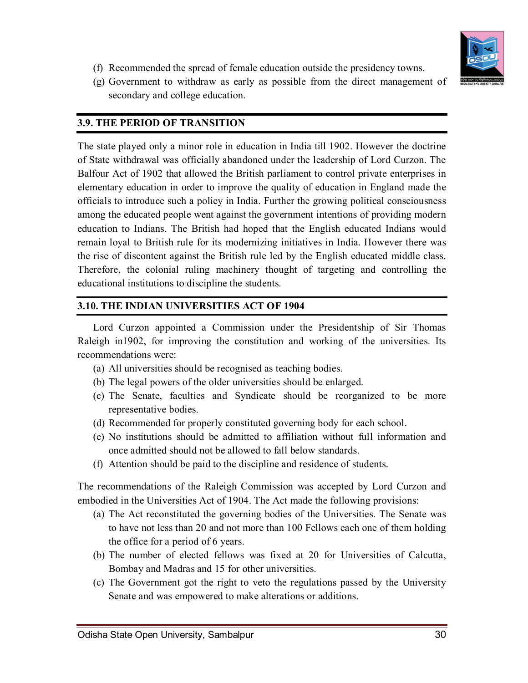

- (f) Recommended the spread of female education outside the presidency towns.
- (g) Government to withdraw as early as possible from the direct management of secondary and college education.

#### **3.9. THE PERIOD OF TRANSITION**

The state played only a minor role in education in India till 1902. However the doctrine of State withdrawal was officially abandoned under the leadership of Lord Curzon. The Balfour Act of 1902 that allowed the British parliament to control private enterprises in elementary education in order to improve the quality of education in England made the officials to introduce such a policy in India. Further the growing political consciousness among the educated people went against the government intentions of providing modern education to Indians. The British had hoped that the English educated Indians would remain loyal to British rule for its modernizing initiatives in India. However there was the rise of discontent against the British rule led by the English educated middle class. Therefore, the colonial ruling machinery thought of targeting and controlling the educational institutions to discipline the students.

#### **3.10. THE INDIAN UNIVERSITIES ACT OF 1904**

Lord Curzon appointed a Commission under the Presidentship of Sir Thomas Raleigh in1902, for improving the constitution and working of the universities. Its recommendations were:

- (a) All universities should be recognised as teaching bodies.
- (b) The legal powers of the older universities should be enlarged.
- (c) The Senate, faculties and Syndicate should be reorganized to be more representative bodies.
- (d) Recommended for properly constituted governing body for each school.
- (e) No institutions should be admitted to affiliation without full information and once admitted should not be allowed to fall below standards.
- (f) Attention should be paid to the discipline and residence of students.

The recommendations of the Raleigh Commission was accepted by Lord Curzon and embodied in the Universities Act of 1904. The Act made the following provisions:

- (a) The Act reconstituted the governing bodies of the Universities. The Senate was to have not less than 20 and not more than 100 Fellows each one of them holding the office for a period of 6 years.
- (b) The number of elected fellows was fixed at 20 for Universities of Calcutta, Bombay and Madras and 15 for other universities.
- (c) The Government got the right to veto the regulations passed by the University Senate and was empowered to make alterations or additions.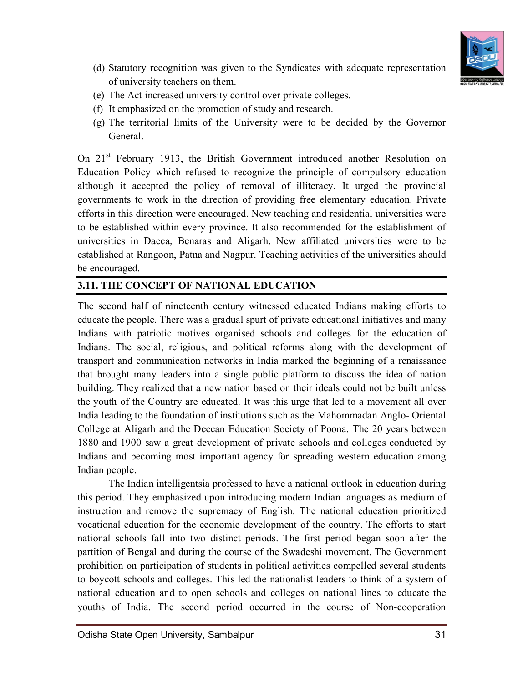

- (d) Statutory recognition was given to the Syndicates with adequate representation of university teachers on them.
- (e) The Act increased university control over private colleges.
- (f) It emphasized on the promotion of study and research.
- (g) The territorial limits of the University were to be decided by the Governor General.

On 21<sup>st</sup> February 1913, the British Government introduced another Resolution on Education Policy which refused to recognize the principle of compulsory education although it accepted the policy of removal of illiteracy. It urged the provincial governments to work in the direction of providing free elementary education. Private efforts in this direction were encouraged. New teaching and residential universities were to be established within every province. It also recommended for the establishment of universities in Dacca, Benaras and Aligarh. New affiliated universities were to be established at Rangoon, Patna and Nagpur. Teaching activities of the universities should be encouraged.

## **3.11. THE CONCEPT OF NATIONAL EDUCATION**

The second half of nineteenth century witnessed educated Indians making efforts to educate the people. There was a gradual spurt of private educational initiatives and many Indians with patriotic motives organised schools and colleges for the education of Indians. The social, religious, and political reforms along with the development of transport and communication networks in India marked the beginning of a renaissance that brought many leaders into a single public platform to discuss the idea of nation building. They realized that a new nation based on their ideals could not be built unless the youth of the Country are educated. It was this urge that led to a movement all over India leading to the foundation of institutions such as the Mahommadan Anglo- Oriental College at Aligarh and the Deccan Education Society of Poona. The 20 years between 1880 and 1900 saw a great development of private schools and colleges conducted by Indians and becoming most important agency for spreading western education among Indian people.

The Indian intelligentsia professed to have a national outlook in education during this period. They emphasized upon introducing modern Indian languages as medium of instruction and remove the supremacy of English. The national education prioritized vocational education for the economic development of the country. The efforts to start national schools fall into two distinct periods. The first period began soon after the partition of Bengal and during the course of the Swadeshi movement. The Government prohibition on participation of students in political activities compelled several students to boycott schools and colleges. This led the nationalist leaders to think of a system of national education and to open schools and colleges on national lines to educate the youths of India. The second period occurred in the course of Non-cooperation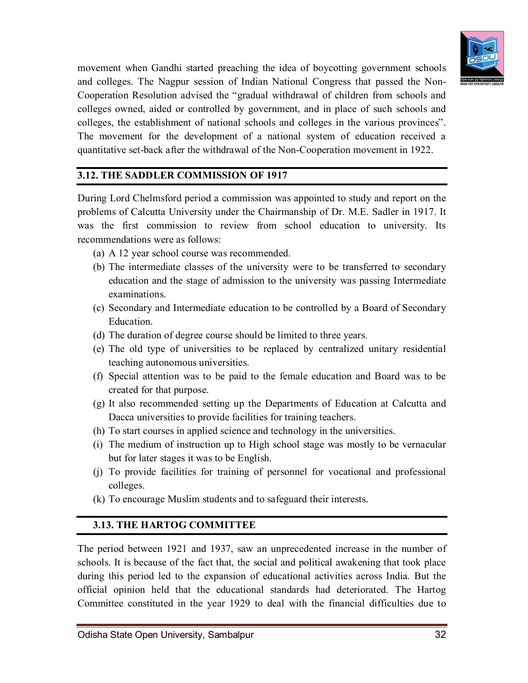

movement when Gandhi started preaching the idea of boycotting government schools and colleges. The Nagpur session of Indian National Congress that passed the Non-Cooperation Resolution advised the "gradual withdrawal of children from schools and colleges owned, aided or controlled by government, and in place of such schools and colleges, the establishment of national schools and colleges in the various provinces". The movement for the development of a national system of education received a quantitative set-back after the withdrawal of the Non-Cooperation movement in 1922.

#### **3.12. THE SADDLER COMMISSION OF 1917**

During Lord Chelmsford period a commission was appointed to study and report on the problems of Calcutta University under the Chairmanship of Dr. M.E. Sadler in 1917. It was the first commission to review from school education to university. Its recommendations were as follows:

- (a) A 12 year school course was recommended.
- (b) The intermediate classes of the university were to be transferred to secondary education and the stage of admission to the university was passing Intermediate examinations.
- (c) Secondary and Intermediate education to be controlled by a Board of Secondary Education.
- (d) The duration of degree course should be limited to three years.
- (e) The old type of universities to be replaced by centralized unitary residential teaching autonomous universities.
- (f) Special attention was to be paid to the female education and Board was to be created for that purpose.
- (g) It also recommended setting up the Departments of Education at Calcutta and Dacca universities to provide facilities for training teachers.
- (h) To start courses in applied science and technology in the universities.
- (i) The medium of instruction up to High school stage was mostly to be vernacular but for later stages it was to be English.
- (j) To provide facilities for training of personnel for vocational and professional colleges.
- (k) To encourage Muslim students and to safeguard their interests.

#### **3.13. THE HARTOG COMMITTEE**

The period between 1921 and 1937, saw an unprecedented increase in the number of schools. It is because of the fact that, the social and political awakening that took place during this period led to the expansion of educational activities across India. But the official opinion held that the educational standards had deteriorated. The Hartog Committee constituted in the year 1929 to deal with the financial difficulties due to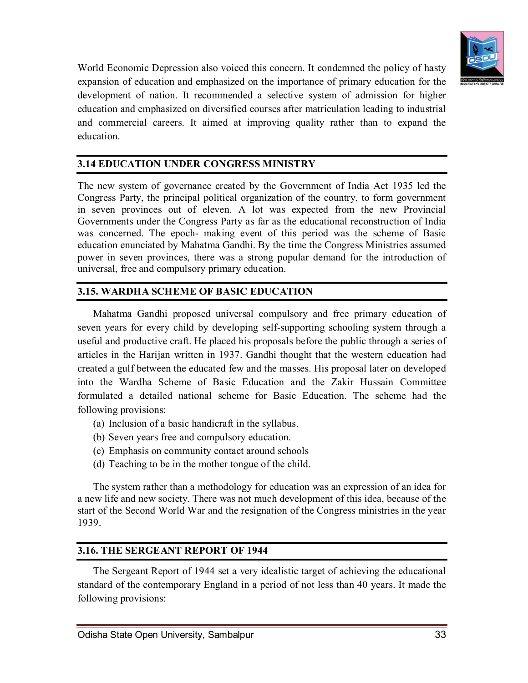

World Economic Depression also voiced this concern. It condemned the policy of hasty expansion of education and emphasized on the importance of primary education for the development of nation. It recommended a selective system of admission for higher education and emphasized on diversified courses after matriculation leading to industrial and commercial careers. It aimed at improving quality rather than to expand the education.

## **3.14 EDUCATION UNDER CONGRESS MINISTRY**

The new system of governance created by the Government of India Act 1935 led the Congress Party, the principal political organization of the country, to form government in seven provinces out of eleven. A lot was expected from the new Provincial Governments under the Congress Party as far as the educational reconstruction of India was concerned. The epoch- making event of this period was the scheme of Basic education enunciated by Mahatma Gandhi. By the time the Congress Ministries assumed power in seven provinces, there was a strong popular demand for the introduction of universal, free and compulsory primary education.

#### **3.15. WARDHA SCHEME OF BASIC EDUCATION**

Mahatma Gandhi proposed universal compulsory and free primary education of seven years for every child by developing self-supporting schooling system through a useful and productive craft. He placed his proposals before the public through a series of articles in the Harijan written in 1937. Gandhi thought that the western education had created a gulf between the educated few and the masses. His proposal later on developed into the Wardha Scheme of Basic Education and the Zakir Hussain Committee formulated a detailed national scheme for Basic Education. The scheme had the following provisions:

- (a) Inclusion of a basic handicraft in the syllabus.
- (b) Seven years free and compulsory education.
- (c) Emphasis on community contact around schools
- (d) Teaching to be in the mother tongue of the child.

The system rather than a methodology for education was an expression of an idea for a new life and new society. There was not much development of this idea, because of the start of the Second World War and the resignation of the Congress ministries in the year 1939.

#### **3.16. THE SERGEANT REPORT OF 1944**

The Sergeant Report of 1944 set a very idealistic target of achieving the educational standard of the contemporary England in a period of not less than 40 years. It made the following provisions: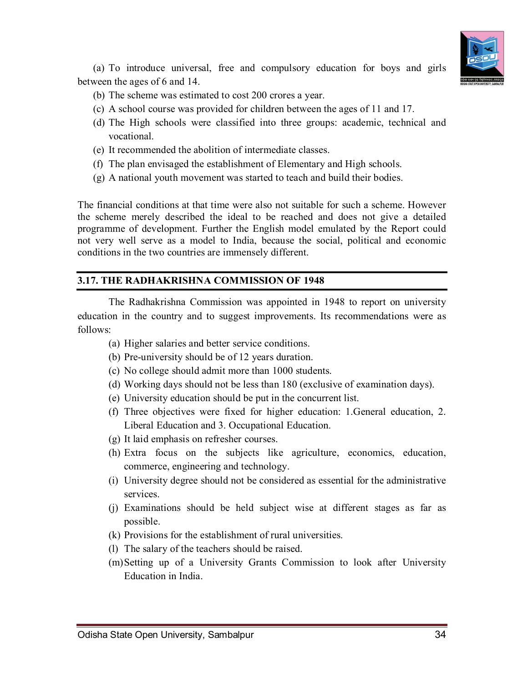

(a) To introduce universal, free and compulsory education for boys and girls between the ages of 6 and 14.

- (b) The scheme was estimated to cost 200 crores a year.
- (c) A school course was provided for children between the ages of 11 and 17.
- (d) The High schools were classified into three groups: academic, technical and vocational.
- (e) It recommended the abolition of intermediate classes.
- (f) The plan envisaged the establishment of Elementary and High schools.
- (g) A national youth movement was started to teach and build their bodies.

The financial conditions at that time were also not suitable for such a scheme. However the scheme merely described the ideal to be reached and does not give a detailed programme of development. Further the English model emulated by the Report could not very well serve as a model to India, because the social, political and economic conditions in the two countries are immensely different.

#### **3.17. THE RADHAKRISHNA COMMISSION OF 1948**

The Radhakrishna Commission was appointed in 1948 to report on university education in the country and to suggest improvements. Its recommendations were as follows:

- (a) Higher salaries and better service conditions.
- (b) Pre-university should be of 12 years duration.
- (c) No college should admit more than 1000 students.
- (d) Working days should not be less than 180 (exclusive of examination days).
- (e) University education should be put in the concurrent list.
- (f) Three objectives were fixed for higher education: 1.General education, 2. Liberal Education and 3. Occupational Education.
- (g) It laid emphasis on refresher courses.
- (h) Extra focus on the subjects like agriculture, economics, education, commerce, engineering and technology.
- (i) University degree should not be considered as essential for the administrative services.
- (j) Examinations should be held subject wise at different stages as far as possible.
- (k) Provisions for the establishment of rural universities.
- (l) The salary of the teachers should be raised.
- (m)Setting up of a University Grants Commission to look after University Education in India.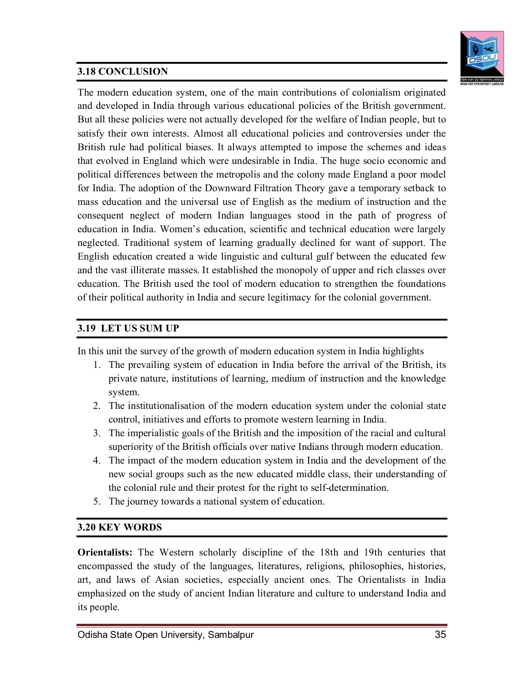## **3.18 CONCLUSION**



The modern education system, one of the main contributions of colonialism originated and developed in India through various educational policies of the British government. But all these policies were not actually developed for the welfare of Indian people, but to satisfy their own interests. Almost all educational policies and controversies under the British rule had political biases. It always attempted to impose the schemes and ideas that evolved in England which were undesirable in India. The huge socio economic and political differences between the metropolis and the colony made England a poor model for India. The adoption of the Downward Filtration Theory gave a temporary setback to mass education and the universal use of English as the medium of instruction and the consequent neglect of modern Indian languages stood in the path of progress of education in India. Women's education, scientific and technical education were largely neglected. Traditional system of learning gradually declined for want of support. The English education created a wide linguistic and cultural gulf between the educated few and the vast illiterate masses. It established the monopoly of upper and rich classes over education. The British used the tool of modern education to strengthen the foundations of their political authority in India and secure legitimacy for the colonial government.

## **3.19 LET US SUM UP**

In this unit the survey of the growth of modern education system in India highlights

- 1. The prevailing system of education in India before the arrival of the British, its private nature, institutions of learning, medium of instruction and the knowledge system.
- 2. The institutionalisation of the modern education system under the colonial state control, initiatives and efforts to promote western learning in India.
- 3. The imperialistic goals of the British and the imposition of the racial and cultural superiority of the British officials over native Indians through modern education.
- 4. The impact of the modern education system in India and the development of the new social groups such as the new educated middle class, their understanding of the colonial rule and their protest for the right to self-determination.
- 5. The journey towards a national system of education.

## **3.20 KEY WORDS**

**Orientalists:** The Western scholarly discipline of the 18th and 19th centuries that encompassed the study of the languages, literatures, religions, philosophies, histories, art, and laws of Asian societies, especially ancient ones. The Orientalists in India emphasized on the study of ancient Indian literature and culture to understand India and its people.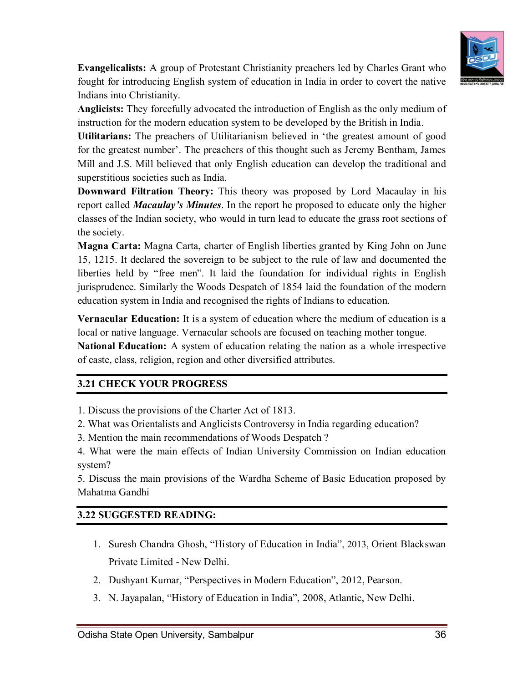

**Evangelicalists:** A group of Protestant Christianity preachers led by Charles Grant who fought for introducing English system of education in India in order to covert the native Indians into Christianity.

**Anglicists:** They forcefully advocated the introduction of English as the only medium of instruction for the modern education system to be developed by the British in India.

**Utilitarians:** The preachers of Utilitarianism believed in 'the greatest amount of good for the greatest number'. The preachers of this thought such as Jeremy Bentham, James Mill and J.S. Mill believed that only English education can develop the traditional and superstitious societies such as India.

**Downward Filtration Theory:** This theory was proposed by Lord Macaulay in his report called *Macaulay's Minutes*. In the report he proposed to educate only the higher classes of the Indian society, who would in turn lead to educate the grass root sections of the society.

**Magna Carta:** Magna Carta, charter of English liberties granted by King John on June 15, 1215. It declared the sovereign to be subject to the rule of law and documented the liberties held by "free men". It laid the foundation for individual rights in English jurisprudence. Similarly the Woods Despatch of 1854 laid the foundation of the modern education system in India and recognised the rights of Indians to education.

**Vernacular Education:** It is a system of education where the medium of education is a local or native language. Vernacular schools are focused on teaching mother tongue.

**National Education:** A system of education relating the nation as a whole irrespective of caste, class, religion, region and other diversified attributes.

## **3.21 CHECK YOUR PROGRESS**

- 1. Discuss the provisions of the Charter Act of 1813.
- 2. What was Orientalists and Anglicists Controversy in India regarding education?
- 3. Mention the main recommendations of Woods Despatch ?

4. What were the main effects of Indian University Commission on Indian education system?

5. Discuss the main provisions of the Wardha Scheme of Basic Education proposed by Mahatma Gandhi

#### **3.22 SUGGESTED READING:**

- 1. Suresh Chandra Ghosh, "History of Education in India", 2013, Orient Blackswan Private Limited - New Delhi.
- 2. Dushyant Kumar, "Perspectives in Modern Education", 2012, Pearson.
- 3. N. Jayapalan, "History of Education in India", 2008, Atlantic, New Delhi.